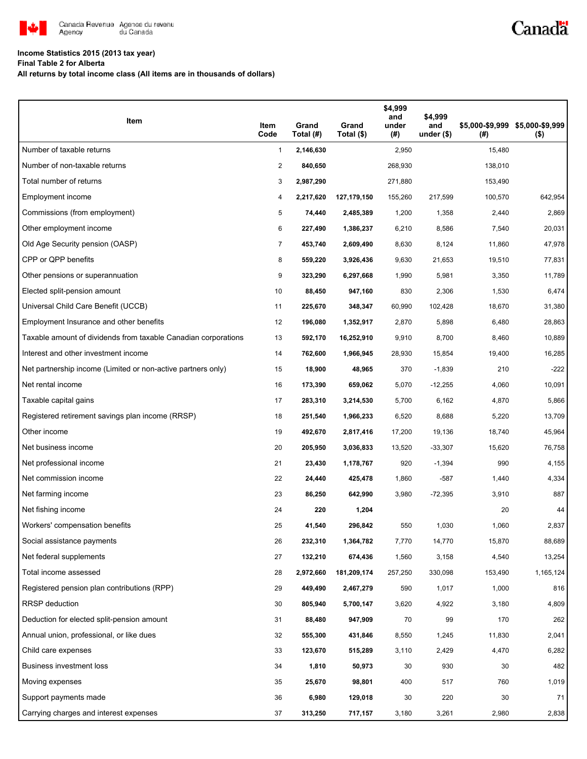

## **Income Statistics 2015 (2013 tax year)**

**Final Table 2 for Alberta**

**All returns by total income class (All items are in thousands of dollars)**

| Item                                                           | Item<br>Code   | Grand<br>Total (#) | Grand<br>Total (\$) | \$4,999<br>and<br>under<br>(# ) | \$4,999<br>and<br>under $($)$ | (#)     | \$5,000-\$9,999 \$5,000-\$9,999<br>$($ \$) |
|----------------------------------------------------------------|----------------|--------------------|---------------------|---------------------------------|-------------------------------|---------|--------------------------------------------|
| Number of taxable returns                                      | 1              | 2,146,630          |                     | 2,950                           |                               | 15,480  |                                            |
| Number of non-taxable returns                                  | $\overline{c}$ | 840,650            |                     | 268,930                         |                               | 138,010 |                                            |
| Total number of returns                                        | 3              | 2,987,290          |                     | 271,880                         |                               | 153,490 |                                            |
| Employment income                                              | 4              | 2,217,620          | 127,179,150         | 155,260                         | 217,599                       | 100,570 | 642,954                                    |
| Commissions (from employment)                                  | 5              | 74,440             | 2,485,389           | 1,200                           | 1,358                         | 2,440   | 2,869                                      |
| Other employment income                                        | 6              | 227,490            | 1,386,237           | 6,210                           | 8,586                         | 7,540   | 20,031                                     |
| Old Age Security pension (OASP)                                | $\overline{7}$ | 453,740            | 2,609,490           | 8,630                           | 8,124                         | 11,860  | 47,978                                     |
| CPP or QPP benefits                                            | 8              | 559,220            | 3,926,436           | 9,630                           | 21,653                        | 19,510  | 77,831                                     |
| Other pensions or superannuation                               | 9              | 323,290            | 6,297,668           | 1,990                           | 5,981                         | 3,350   | 11,789                                     |
| Elected split-pension amount                                   | 10             | 88,450             | 947,160             | 830                             | 2,306                         | 1,530   | 6,474                                      |
| Universal Child Care Benefit (UCCB)                            | 11             | 225,670            | 348,347             | 60,990                          | 102,428                       | 18,670  | 31,380                                     |
| Employment Insurance and other benefits                        | 12             | 196,080            | 1,352,917           | 2,870                           | 5,898                         | 6,480   | 28,863                                     |
| Taxable amount of dividends from taxable Canadian corporations | 13             | 592,170            | 16,252,910          | 9,910                           | 8,700                         | 8,460   | 10,889                                     |
| Interest and other investment income                           | 14             | 762,600            | 1,966,945           | 28,930                          | 15,854                        | 19,400  | 16,285                                     |
| Net partnership income (Limited or non-active partners only)   | 15             | 18,900             | 48,965              | 370                             | $-1,839$                      | 210     | $-222$                                     |
| Net rental income                                              | 16             | 173,390            | 659,062             | 5,070                           | $-12,255$                     | 4,060   | 10,091                                     |
| Taxable capital gains                                          | 17             | 283,310            | 3,214,530           | 5,700                           | 6,162                         | 4,870   | 5,866                                      |
| Registered retirement savings plan income (RRSP)               | 18             | 251,540            | 1,966,233           | 6,520                           | 8,688                         | 5,220   | 13,709                                     |
| Other income                                                   | 19             | 492,670            | 2,817,416           | 17,200                          | 19,136                        | 18,740  | 45,964                                     |
| Net business income                                            | 20             | 205,950            | 3,036,833           | 13,520                          | $-33,307$                     | 15,620  | 76,758                                     |
| Net professional income                                        | 21             | 23,430             | 1,178,767           | 920                             | $-1,394$                      | 990     | 4,155                                      |
| Net commission income                                          | 22             | 24,440             | 425,478             | 1,860                           | $-587$                        | 1,440   | 4,334                                      |
| Net farming income                                             | 23             | 86,250             | 642,990             | 3,980                           | $-72,395$                     | 3,910   | 887                                        |
| Net fishing income                                             | 24             | 220                | 1,204               |                                 |                               | 20      | 44                                         |
| Workers' compensation benefits                                 | 25             | 41,540             | 296,842             | 550                             | 1,030                         | 1,060   | 2,837                                      |
| Social assistance payments                                     | 26             | 232,310            | 1,364,782           | 7,770                           | 14,770                        | 15,870  | 88,689                                     |
| Net federal supplements                                        | 27             | 132,210            | 674,436             | 1,560                           | 3,158                         | 4,540   | 13,254                                     |
| Total income assessed                                          | 28             | 2,972,660          | 181,209,174         | 257,250                         | 330,098                       | 153,490 | 1,165,124                                  |
| Registered pension plan contributions (RPP)                    | 29             | 449,490            | 2,467,279           | 590                             | 1,017                         | 1,000   | 816                                        |
| <b>RRSP</b> deduction                                          | 30             | 805,940            | 5,700,147           | 3,620                           | 4,922                         | 3,180   | 4,809                                      |
| Deduction for elected split-pension amount                     | 31             | 88,480             | 947,909             | 70                              | 99                            | 170     | 262                                        |
| Annual union, professional, or like dues                       | 32             | 555,300            | 431,846             | 8,550                           | 1,245                         | 11,830  | 2,041                                      |
| Child care expenses                                            | 33             | 123,670            | 515,289             | 3,110                           | 2,429                         | 4,470   | 6,282                                      |
| Business investment loss                                       | 34             | 1,810              | 50,973              | 30                              | 930                           | 30      | 482                                        |
| Moving expenses                                                | 35             | 25,670             | 98,801              | 400                             | 517                           | 760     | 1,019                                      |
| Support payments made                                          | 36             | 6,980              | 129,018             | 30                              | 220                           | 30      | 71                                         |
| Carrying charges and interest expenses                         | 37             | 313,250            | 717,157             | 3,180                           | 3,261                         | 2,980   | 2,838                                      |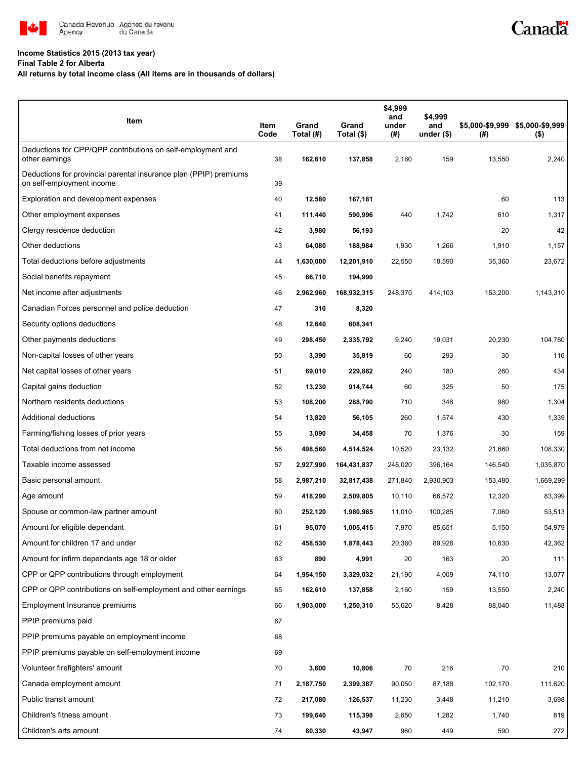

## **Income Statistics 2015 (2013 tax year)**

**Final Table 2 for Alberta**

**All returns by total income class (All items are in thousands of dollars)**

| Item                                                                                           | Item<br>Code | Grand<br>Total (#) | Grand<br>Total (\$) | \$4,999<br>and<br>under<br>(# ) | \$4,999<br>and<br>under $($)$ | (#)     | \$5,000-\$9,999 \$5,000-\$9,999<br>$($ \$) |
|------------------------------------------------------------------------------------------------|--------------|--------------------|---------------------|---------------------------------|-------------------------------|---------|--------------------------------------------|
| Deductions for CPP/QPP contributions on self-employment and<br>other earnings                  | 38           | 162,610            | 137,858             | 2,160                           | 159                           | 13,550  | 2,240                                      |
| Deductions for provincial parental insurance plan (PPIP) premiums<br>on self-employment income | 39           |                    |                     |                                 |                               |         |                                            |
| Exploration and development expenses                                                           | 40           | 12,580             | 167,181             |                                 |                               | 60      | 113                                        |
| Other employment expenses                                                                      | 41           | 111,440            | 590,996             | 440                             | 1,742                         | 610     | 1,317                                      |
| Clergy residence deduction                                                                     | 42           | 3,980              | 56,193              |                                 |                               | 20      | 42                                         |
| Other deductions                                                                               | 43           | 64,080             | 188,984             | 1,930                           | 1,266                         | 1,910   | 1,157                                      |
| Total deductions before adjustments                                                            | 44           | 1,630,000          | 12,201,910          | 22,550                          | 18,590                        | 35,360  | 23,672                                     |
| Social benefits repayment                                                                      | 45           | 66,710             | 194,990             |                                 |                               |         |                                            |
| Net income after adjustments                                                                   | 46           | 2,962,960          | 168,932,315         | 248,370                         | 414,103                       | 153,200 | 1,143,310                                  |
| Canadian Forces personnel and police deduction                                                 | 47           | 310                | 8,320               |                                 |                               |         |                                            |
| Security options deductions                                                                    | 48           | 12,640             | 608,341             |                                 |                               |         |                                            |
| Other payments deductions                                                                      | 49           | 298,450            | 2,335,792           | 9,240                           | 19,031                        | 20,230  | 104,780                                    |
| Non-capital losses of other years                                                              | 50           | 3,390              | 35,819              | 60                              | 293                           | 30      | 116                                        |
| Net capital losses of other years                                                              | 51           | 69,010             | 229,862             | 240                             | 180                           | 260     | 434                                        |
| Capital gains deduction                                                                        | 52           | 13,230             | 914,744             | 60                              | 325                           | 50      | 175                                        |
| Northern residents deductions                                                                  | 53           | 108,200            | 288,790             | 710                             | 348                           | 980     | 1,304                                      |
| Additional deductions                                                                          | 54           | 13,820             | 56,105              | 260                             | 1,574                         | 430     | 1,339                                      |
| Farming/fishing losses of prior years                                                          | 55           | 3,090              | 34,458              | 70                              | 1,376                         | 30      | 159                                        |
| Total deductions from net income                                                               | 56           | 498,560            | 4,514,524           | 10,520                          | 23,132                        | 21,660  | 108,330                                    |
| Taxable income assessed                                                                        | 57           | 2,927,990          | 164,431,837         | 245,020                         | 396,164                       | 146,540 | 1,035,870                                  |
| Basic personal amount                                                                          | 58           | 2,987,210          | 32,817,438          | 271,840                         | 2,930,903                     | 153,480 | 1,669,299                                  |
| Age amount                                                                                     | 59           | 418,290            | 2,509,805           | 10,110                          | 66,572                        | 12,320  | 83,399                                     |
| Spouse or common-law partner amount                                                            | 60           | 252,120            | 1,980,985           | 11,010                          | 100,285                       | 7,060   | 53,513                                     |
| Amount for eligible dependant                                                                  | 61           | 95,070             | 1,005,415           | 7,970                           | 85,651                        | 5,150   | 54,979                                     |
| Amount for children 17 and under                                                               | 62           | 458,530            | 1,878,443           | 20,380                          | 89,926                        | 10,630  | 42,362                                     |
| Amount for infirm dependants age 18 or older                                                   | 63           | 890                | 4,991               | 20                              | 163                           | 20      | 111                                        |
| CPP or QPP contributions through employment                                                    | 64           | 1,954,150          | 3,329,032           | 21,190                          | 4,009                         | 74,110  | 13,077                                     |
| CPP or QPP contributions on self-employment and other earnings                                 | 65           | 162,610            | 137,858             | 2,160                           | 159                           | 13,550  | 2,240                                      |
| Employment Insurance premiums                                                                  | 66           | 1,903,000          | 1,250,310           | 55,620                          | 8,428                         | 88,040  | 11,488                                     |
| PPIP premiums paid                                                                             | 67           |                    |                     |                                 |                               |         |                                            |
| PPIP premiums payable on employment income                                                     | 68           |                    |                     |                                 |                               |         |                                            |
| PPIP premiums payable on self-employment income                                                | 69           |                    |                     |                                 |                               |         |                                            |
| Volunteer firefighters' amount                                                                 | 70           | 3,600              | 10,806              | 70                              | 216                           | 70      | 210                                        |
| Canada employment amount                                                                       | 71           | 2,187,750          | 2,399,387           | 90,050                          | 87,188                        | 102,170 | 111,620                                    |
| Public transit amount                                                                          | 72           | 217,080            | 126,537             | 11,230                          | 3,448                         | 11,210  | 3,698                                      |
| Children's fitness amount                                                                      | 73           | 199,640            | 115,398             | 2,650                           | 1,282                         | 1,740   | 819                                        |
| Children's arts amount                                                                         | 74           | 80,330             | 43,947              | 960                             | 449                           | 590     | 272                                        |

Canadä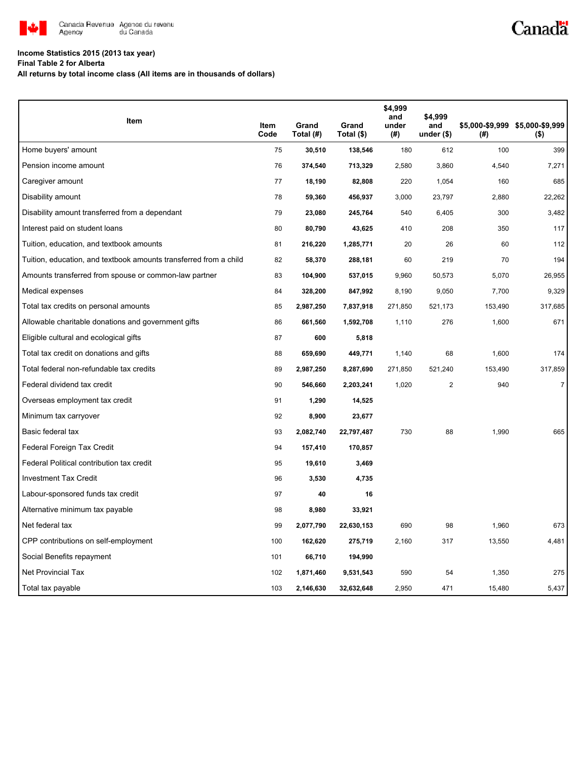

## Canadä

## **Income Statistics 2015 (2013 tax year)**

**Final Table 2 for Alberta**

**All returns by total income class (All items are in thousands of dollars)**

| Item                                                              |              |                    |                     | \$4,999<br>and | \$4,999            |         |                                            |
|-------------------------------------------------------------------|--------------|--------------------|---------------------|----------------|--------------------|---------|--------------------------------------------|
|                                                                   | Item<br>Code | Grand<br>Total (#) | Grand<br>Total (\$) | under<br>(#)   | and<br>under $($)$ | (#)     | \$5,000-\$9,999 \$5,000-\$9,999<br>$($ \$) |
| Home buyers' amount                                               | 75           | 30,510             | 138,546             | 180            | 612                | 100     | 399                                        |
| Pension income amount                                             | 76           | 374,540            | 713,329             | 2,580          | 3,860              | 4,540   | 7,271                                      |
| Caregiver amount                                                  | 77           | 18,190             | 82,808              | 220            | 1,054              | 160     | 685                                        |
| Disability amount                                                 | 78           | 59,360             | 456,937             | 3,000          | 23,797             | 2,880   | 22,262                                     |
| Disability amount transferred from a dependant                    | 79           | 23,080             | 245,764             | 540            | 6,405              | 300     | 3,482                                      |
| Interest paid on student loans                                    | 80           | 80,790             | 43,625              | 410            | 208                | 350     | 117                                        |
| Tuition, education, and textbook amounts                          | 81           | 216,220            | 1,285,771           | 20             | 26                 | 60      | 112                                        |
| Tuition, education, and textbook amounts transferred from a child | 82           | 58,370             | 288,181             | 60             | 219                | 70      | 194                                        |
| Amounts transferred from spouse or common-law partner             | 83           | 104,900            | 537,015             | 9,960          | 50,573             | 5,070   | 26,955                                     |
| Medical expenses                                                  | 84           | 328,200            | 847,992             | 8,190          | 9,050              | 7,700   | 9,329                                      |
| Total tax credits on personal amounts                             | 85           | 2,987,250          | 7,837,918           | 271,850        | 521,173            | 153,490 | 317,685                                    |
| Allowable charitable donations and government gifts               | 86           | 661,560            | 1,592,708           | 1,110          | 276                | 1,600   | 671                                        |
| Eligible cultural and ecological gifts                            | 87           | 600                | 5,818               |                |                    |         |                                            |
| Total tax credit on donations and gifts                           | 88           | 659,690            | 449,771             | 1,140          | 68                 | 1,600   | 174                                        |
| Total federal non-refundable tax credits                          | 89           | 2,987,250          | 8,287,690           | 271,850        | 521,240            | 153,490 | 317,859                                    |
| Federal dividend tax credit                                       | 90           | 546,660            | 2,203,241           | 1,020          | $\overline{2}$     | 940     | $\overline{7}$                             |
| Overseas employment tax credit                                    | 91           | 1,290              | 14,525              |                |                    |         |                                            |
| Minimum tax carryover                                             | 92           | 8,900              | 23,677              |                |                    |         |                                            |
| Basic federal tax                                                 | 93           | 2,082,740          | 22,797,487          | 730            | 88                 | 1,990   | 665                                        |
| Federal Foreign Tax Credit                                        | 94           | 157,410            | 170,857             |                |                    |         |                                            |
| Federal Political contribution tax credit                         | 95           | 19,610             | 3,469               |                |                    |         |                                            |
| <b>Investment Tax Credit</b>                                      | 96           | 3,530              | 4,735               |                |                    |         |                                            |
| Labour-sponsored funds tax credit                                 | 97           | 40                 | 16                  |                |                    |         |                                            |
| Alternative minimum tax payable                                   | 98           | 8,980              | 33,921              |                |                    |         |                                            |
| Net federal tax                                                   | 99           | 2,077,790          | 22,630,153          | 690            | 98                 | 1,960   | 673                                        |
| CPP contributions on self-employment                              | 100          | 162,620            | 275,719             | 2,160          | 317                | 13,550  | 4,481                                      |
| Social Benefits repayment                                         | 101          | 66,710             | 194,990             |                |                    |         |                                            |
| <b>Net Provincial Tax</b>                                         | 102          | 1,871,460          | 9,531,543           | 590            | 54                 | 1,350   | 275                                        |
| Total tax payable                                                 | 103          | 2,146,630          | 32,632,648          | 2,950          | 471                | 15,480  | 5,437                                      |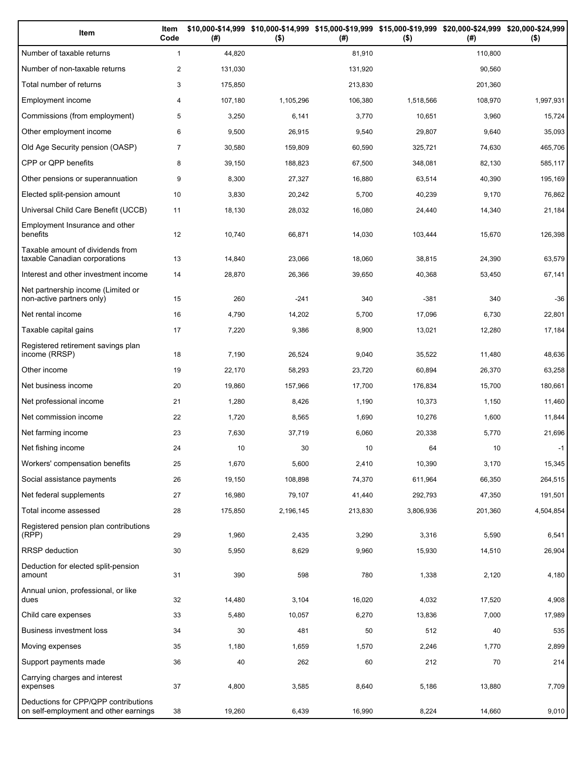| Item                                                                          | Item<br>Code   | (#)     | \$10,000-\$14,999 \$10,000-\$14,999 \$15,000-\$19,999 \$15,000-\$19,999 \$20,000-\$24,999 \$20,000-\$24,999<br>$($ \$) | (# )    | $($ \$)   | (#)     | $($ \$)   |
|-------------------------------------------------------------------------------|----------------|---------|------------------------------------------------------------------------------------------------------------------------|---------|-----------|---------|-----------|
| Number of taxable returns                                                     | $\mathbf{1}$   | 44,820  |                                                                                                                        | 81,910  |           | 110,800 |           |
| Number of non-taxable returns                                                 | $\overline{2}$ | 131,030 |                                                                                                                        | 131,920 |           | 90.560  |           |
| Total number of returns                                                       | 3              | 175,850 |                                                                                                                        | 213,830 |           | 201,360 |           |
| Employment income                                                             | 4              | 107,180 | 1,105,296                                                                                                              | 106,380 | 1,518,566 | 108,970 | 1,997,931 |
| Commissions (from employment)                                                 | 5              | 3,250   | 6,141                                                                                                                  | 3,770   | 10,651    | 3,960   | 15,724    |
| Other employment income                                                       | 6              | 9,500   | 26,915                                                                                                                 | 9,540   | 29,807    | 9,640   | 35,093    |
| Old Age Security pension (OASP)                                               | $\overline{7}$ | 30,580  | 159,809                                                                                                                | 60,590  | 325,721   | 74,630  | 465,706   |
| CPP or QPP benefits                                                           | 8              | 39,150  | 188,823                                                                                                                | 67,500  | 348,081   | 82,130  | 585,117   |
| Other pensions or superannuation                                              | 9              | 8,300   | 27,327                                                                                                                 | 16,880  | 63,514    | 40,390  | 195,169   |
| Elected split-pension amount                                                  | 10             | 3,830   | 20,242                                                                                                                 | 5,700   | 40,239    | 9,170   | 76,862    |
| Universal Child Care Benefit (UCCB)                                           | 11             | 18,130  | 28,032                                                                                                                 | 16,080  | 24,440    | 14,340  | 21,184    |
| Employment Insurance and other<br>benefits                                    | 12             | 10,740  | 66,871                                                                                                                 | 14,030  | 103,444   | 15,670  | 126,398   |
| Taxable amount of dividends from<br>taxable Canadian corporations             | 13             | 14,840  | 23,066                                                                                                                 | 18,060  | 38,815    | 24,390  | 63,579    |
| Interest and other investment income                                          | 14             | 28,870  | 26,366                                                                                                                 | 39,650  | 40,368    | 53,450  | 67,141    |
| Net partnership income (Limited or<br>non-active partners only)               | 15             | 260     | $-241$                                                                                                                 | 340     | $-381$    | 340     | $-36$     |
| Net rental income                                                             | 16             | 4,790   | 14,202                                                                                                                 | 5,700   | 17,096    | 6,730   | 22,801    |
| Taxable capital gains                                                         | 17             | 7,220   | 9,386                                                                                                                  | 8,900   | 13,021    | 12,280  | 17,184    |
| Registered retirement savings plan<br>income (RRSP)                           | 18             | 7,190   | 26,524                                                                                                                 | 9,040   | 35,522    | 11,480  | 48,636    |
| Other income                                                                  | 19             | 22,170  | 58,293                                                                                                                 | 23,720  | 60,894    | 26,370  | 63,258    |
| Net business income                                                           | 20             | 19,860  | 157,966                                                                                                                | 17,700  | 176,834   | 15,700  | 180,661   |
| Net professional income                                                       | 21             | 1,280   | 8,426                                                                                                                  | 1,190   | 10,373    | 1,150   | 11,460    |
| Net commission income                                                         | 22             | 1,720   | 8,565                                                                                                                  | 1,690   | 10,276    | 1,600   | 11,844    |
| Net farming income                                                            | 23             | 7,630   | 37,719                                                                                                                 | 6,060   | 20,338    | 5,770   | 21,696    |
| Net fishing income                                                            | 24             | 10      | 30                                                                                                                     | 10      | 64        | 10      | $-1$      |
| Workers' compensation benefits                                                | 25             | 1,670   | 5,600                                                                                                                  | 2,410   | 10,390    | 3,170   | 15,345    |
| Social assistance payments                                                    | 26             | 19,150  | 108,898                                                                                                                | 74,370  | 611,964   | 66,350  | 264,515   |
| Net federal supplements                                                       | 27             | 16,980  | 79,107                                                                                                                 | 41,440  | 292,793   | 47,350  | 191,501   |
| Total income assessed                                                         | 28             | 175,850 | 2,196,145                                                                                                              | 213,830 | 3,806,936 | 201,360 | 4,504,854 |
| Registered pension plan contributions<br>(RPP)                                | 29             | 1,960   | 2,435                                                                                                                  | 3,290   | 3,316     | 5,590   | 6,541     |
| RRSP deduction                                                                | 30             | 5,950   | 8,629                                                                                                                  | 9,960   | 15,930    | 14,510  | 26,904    |
| Deduction for elected split-pension<br>amount                                 | 31             | 390     | 598                                                                                                                    | 780     | 1,338     | 2,120   | 4,180     |
| Annual union, professional, or like<br>dues                                   | 32             | 14,480  | 3,104                                                                                                                  | 16,020  | 4,032     | 17,520  | 4,908     |
| Child care expenses                                                           | 33             | 5,480   | 10,057                                                                                                                 | 6,270   | 13,836    | 7,000   | 17,989    |
| Business investment loss                                                      | 34             | 30      | 481                                                                                                                    | 50      | 512       | 40      | 535       |
| Moving expenses                                                               | 35             | 1,180   | 1,659                                                                                                                  | 1,570   | 2,246     | 1,770   | 2,899     |
| Support payments made                                                         | 36             | 40      | 262                                                                                                                    | 60      | 212       | 70      | 214       |
| Carrying charges and interest<br>expenses                                     | 37             | 4,800   | 3,585                                                                                                                  | 8,640   | 5,186     | 13,880  | 7,709     |
| Deductions for CPP/QPP contributions<br>on self-employment and other earnings | 38             | 19,260  | 6,439                                                                                                                  | 16,990  | 8,224     | 14,660  | 9,010     |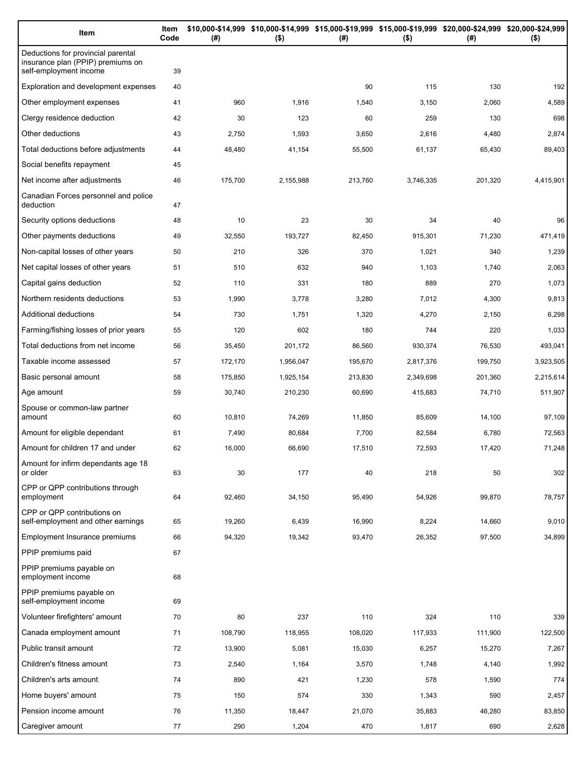| Item                                                                                              | Item<br>Code | (#)     | \$10,000-\$14,999 \$10,000-\$14,999 \$15,000-\$19,999 \$15,000-\$19,999 \$20,000-\$24,999 \$20,000-\$24,999<br>$($ \$) | (#)     | $($ \$)   | (#)     | $($ \$)   |
|---------------------------------------------------------------------------------------------------|--------------|---------|------------------------------------------------------------------------------------------------------------------------|---------|-----------|---------|-----------|
| Deductions for provincial parental<br>insurance plan (PPIP) premiums on<br>self-employment income | 39           |         |                                                                                                                        |         |           |         |           |
| Exploration and development expenses                                                              | 40           |         |                                                                                                                        | 90      | 115       | 130     | 192       |
| Other employment expenses                                                                         | 41           | 960     | 1,916                                                                                                                  | 1,540   | 3,150     | 2,060   | 4,589     |
| Clergy residence deduction                                                                        | 42           | 30      | 123                                                                                                                    | 60      | 259       | 130     | 698       |
| Other deductions                                                                                  | 43           | 2,750   | 1,593                                                                                                                  | 3,650   | 2,616     | 4,480   | 2,874     |
| Total deductions before adjustments                                                               | 44           | 48,480  | 41,154                                                                                                                 | 55,500  | 61,137    | 65,430  | 89,403    |
| Social benefits repayment                                                                         | 45           |         |                                                                                                                        |         |           |         |           |
| Net income after adjustments                                                                      | 46           | 175,700 | 2,155,988                                                                                                              | 213,760 | 3,746,335 | 201,320 | 4,415,901 |
| Canadian Forces personnel and police<br>deduction                                                 | 47           |         |                                                                                                                        |         |           |         |           |
| Security options deductions                                                                       | 48           | 10      | 23                                                                                                                     | 30      | 34        | 40      | 96        |
| Other payments deductions                                                                         | 49           | 32,550  | 193,727                                                                                                                | 82,450  | 915,301   | 71,230  | 471,419   |
| Non-capital losses of other years                                                                 | 50           | 210     | 326                                                                                                                    | 370     | 1,021     | 340     | 1,239     |
| Net capital losses of other years                                                                 | 51           | 510     | 632                                                                                                                    | 940     | 1,103     | 1,740   | 2,063     |
| Capital gains deduction                                                                           | 52           | 110     | 331                                                                                                                    | 180     | 889       | 270     | 1,073     |
| Northern residents deductions                                                                     | 53           | 1,990   | 3,778                                                                                                                  | 3,280   | 7,012     | 4,300   | 9,813     |
| Additional deductions                                                                             | 54           | 730     | 1,751                                                                                                                  | 1,320   | 4,270     | 2,150   | 6,298     |
| Farming/fishing losses of prior years                                                             | 55           | 120     | 602                                                                                                                    | 180     | 744       | 220     | 1,033     |
| Total deductions from net income                                                                  | 56           | 35,450  | 201,172                                                                                                                | 86,560  | 930,374   | 76,530  | 493,041   |
| Taxable income assessed                                                                           | 57           | 172,170 | 1,956,047                                                                                                              | 195,670 | 2,817,376 | 199,750 | 3,923,505 |
| Basic personal amount                                                                             | 58           | 175,850 | 1,925,154                                                                                                              | 213,830 | 2,349,698 | 201,360 | 2,215,614 |
| Age amount                                                                                        | 59           | 30,740  | 210,230                                                                                                                | 60,690  | 415,683   | 74,710  | 511,907   |
| Spouse or common-law partner<br>amount                                                            | 60           | 10,810  | 74,269                                                                                                                 | 11,850  | 85,609    | 14,100  | 97,109    |
| Amount for eligible dependant                                                                     | 61           | 7,490   | 80,684                                                                                                                 | 7,700   | 82,584    | 6,780   | 72,563    |
| Amount for children 17 and under                                                                  | 62           | 16,000  | 66,690                                                                                                                 | 17,510  | 72,593    | 17,420  | 71,248    |
| Amount for infirm dependants age 18<br>or older                                                   | 63           | 30      | 177                                                                                                                    | 40      | 218       | 50      | 302       |
| CPP or QPP contributions through<br>employment                                                    | 64           | 92,460  | 34,150                                                                                                                 | 95,490  | 54,926    | 99,870  | 78,757    |
| CPP or QPP contributions on<br>self-employment and other earnings                                 | 65           | 19,260  | 6,439                                                                                                                  | 16,990  | 8,224     | 14,660  | 9,010     |
| Employment Insurance premiums                                                                     | 66           | 94,320  | 19,342                                                                                                                 | 93,470  | 26,352    | 97,500  | 34,899    |
| PPIP premiums paid                                                                                | 67           |         |                                                                                                                        |         |           |         |           |
| PPIP premiums payable on<br>employment income                                                     | 68           |         |                                                                                                                        |         |           |         |           |
| PPIP premiums payable on<br>self-employment income                                                | 69           |         |                                                                                                                        |         |           |         |           |
| Volunteer firefighters' amount                                                                    | 70           | 80      | 237                                                                                                                    | 110     | 324       | 110     | 339       |
| Canada employment amount                                                                          | 71           | 108,790 | 118,955                                                                                                                | 108,020 | 117,933   | 111,900 | 122,500   |
| Public transit amount                                                                             | 72           | 13,900  | 5,081                                                                                                                  | 15,030  | 6,257     | 15,270  | 7,267     |
| Children's fitness amount                                                                         | 73           | 2,540   | 1,164                                                                                                                  | 3,570   | 1,748     | 4,140   | 1,992     |
| Children's arts amount                                                                            | 74           | 890     | 421                                                                                                                    | 1,230   | 578       | 1,590   | 774       |
| Home buyers' amount                                                                               | 75           | 150     | 574                                                                                                                    | 330     | 1,343     | 590     | 2,457     |
| Pension income amount                                                                             | 76           | 11,350  | 18,447                                                                                                                 | 21,070  | 35,883    | 46,280  | 83,850    |
| Caregiver amount                                                                                  | 77           | 290     | 1,204                                                                                                                  | 470     | 1,817     | 690     | 2,628     |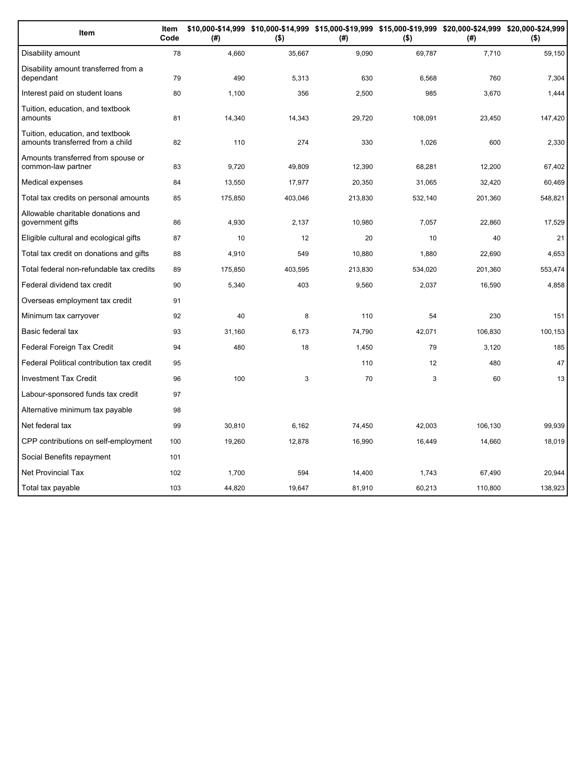| Item                                                                 | Item<br>Code | (#)     | \$10,000-\$14,999 \$10,000-\$14,999 \$15,000-\$19,999 \$15,000-\$19,999 \$20,000-\$24,999 \$20,000-\$24,999<br>$($ \$) | (#)     | $($ \$) | (#)     | $($ \$) |
|----------------------------------------------------------------------|--------------|---------|------------------------------------------------------------------------------------------------------------------------|---------|---------|---------|---------|
| Disability amount                                                    | 78           | 4,660   | 35,667                                                                                                                 | 9,090   | 69,787  | 7,710   | 59,150  |
| Disability amount transferred from a<br>dependant                    | 79           | 490     | 5,313                                                                                                                  | 630     | 6.568   | 760     | 7,304   |
| Interest paid on student loans                                       | 80           | 1.100   | 356                                                                                                                    | 2,500   | 985     | 3,670   | 1,444   |
| Tuition, education, and textbook<br>amounts                          | 81           | 14,340  | 14,343                                                                                                                 | 29,720  | 108,091 | 23,450  | 147,420 |
| Tuition, education, and textbook<br>amounts transferred from a child | 82           | 110     | 274                                                                                                                    | 330     | 1,026   | 600     | 2,330   |
| Amounts transferred from spouse or<br>common-law partner             | 83           | 9.720   | 49,809                                                                                                                 | 12,390  | 68,281  | 12,200  | 67,402  |
| Medical expenses                                                     | 84           | 13,550  | 17,977                                                                                                                 | 20,350  | 31,065  | 32,420  | 60,469  |
| Total tax credits on personal amounts                                | 85           | 175,850 | 403,046                                                                                                                | 213,830 | 532,140 | 201,360 | 548,821 |
| Allowable charitable donations and<br>government gifts               | 86           | 4,930   | 2,137                                                                                                                  | 10,980  | 7,057   | 22,860  | 17,529  |
| Eligible cultural and ecological gifts                               | 87           | 10      | 12                                                                                                                     | 20      | 10      | 40      | 21      |
| Total tax credit on donations and gifts                              | 88           | 4,910   | 549                                                                                                                    | 10,880  | 1,880   | 22,690  | 4,653   |
| Total federal non-refundable tax credits                             | 89           | 175,850 | 403,595                                                                                                                | 213,830 | 534,020 | 201,360 | 553,474 |
| Federal dividend tax credit                                          | 90           | 5,340   | 403                                                                                                                    | 9,560   | 2,037   | 16,590  | 4,858   |
| Overseas employment tax credit                                       | 91           |         |                                                                                                                        |         |         |         |         |
| Minimum tax carryover                                                | 92           | 40      | 8                                                                                                                      | 110     | 54      | 230     | 151     |
| Basic federal tax                                                    | 93           | 31,160  | 6,173                                                                                                                  | 74,790  | 42,071  | 106,830 | 100,153 |
| Federal Foreign Tax Credit                                           | 94           | 480     | 18                                                                                                                     | 1,450   | 79      | 3,120   | 185     |
| Federal Political contribution tax credit                            | 95           |         |                                                                                                                        | 110     | 12      | 480     | 47      |
| <b>Investment Tax Credit</b>                                         | 96           | 100     | 3                                                                                                                      | 70      | 3       | 60      | 13      |
| Labour-sponsored funds tax credit                                    | 97           |         |                                                                                                                        |         |         |         |         |
| Alternative minimum tax payable                                      | 98           |         |                                                                                                                        |         |         |         |         |
| Net federal tax                                                      | 99           | 30,810  | 6,162                                                                                                                  | 74,450  | 42,003  | 106,130 | 99,939  |
| CPP contributions on self-employment                                 | 100          | 19,260  | 12,878                                                                                                                 | 16,990  | 16,449  | 14,660  | 18,019  |
| Social Benefits repayment                                            | 101          |         |                                                                                                                        |         |         |         |         |
| <b>Net Provincial Tax</b>                                            | 102          | 1.700   | 594                                                                                                                    | 14,400  | 1.743   | 67,490  | 20,944  |
| Total tax payable                                                    | 103          | 44,820  | 19,647                                                                                                                 | 81,910  | 60,213  | 110,800 | 138,923 |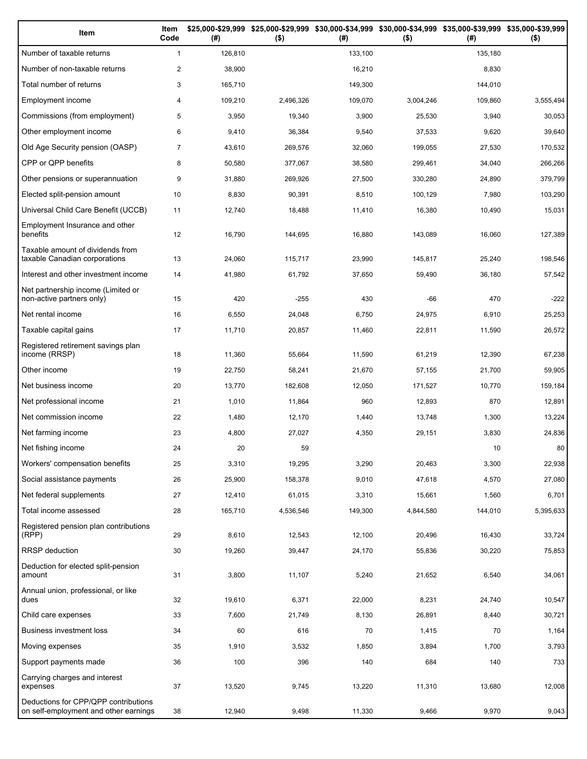| Item                                                                          | Item<br>Code   | (# )    | \$25,000-\$29,999 \$25,000-\$29,999<br>$($ \$) | (# )    | \$30,000-\$34,999 \$30,000-\$34,999 \$35,000-\$39,999 \$35,000-\$39,999<br>$($ \$) | (# )    | $($ \$)   |
|-------------------------------------------------------------------------------|----------------|---------|------------------------------------------------|---------|------------------------------------------------------------------------------------|---------|-----------|
| Number of taxable returns                                                     | $\mathbf{1}$   | 126,810 |                                                | 133,100 |                                                                                    | 135,180 |           |
| Number of non-taxable returns                                                 | $\overline{2}$ | 38,900  |                                                | 16,210  |                                                                                    | 8,830   |           |
| Total number of returns                                                       | 3              | 165,710 |                                                | 149,300 |                                                                                    | 144,010 |           |
| Employment income                                                             | 4              | 109,210 | 2,496,326                                      | 109,070 | 3,004,246                                                                          | 109,860 | 3,555,494 |
| Commissions (from employment)                                                 | 5              | 3,950   | 19,340                                         | 3,900   | 25,530                                                                             | 3,940   | 30,053    |
| Other employment income                                                       | 6              | 9,410   | 36,384                                         | 9,540   | 37,533                                                                             | 9,620   | 39,640    |
| Old Age Security pension (OASP)                                               | $\overline{7}$ | 43,610  | 269,576                                        | 32,060  | 199,055                                                                            | 27,530  | 170,532   |
| CPP or QPP benefits                                                           | 8              | 50,580  | 377,067                                        | 38,580  | 299,461                                                                            | 34,040  | 266,266   |
| Other pensions or superannuation                                              | 9              | 31,880  | 269,926                                        | 27,500  | 330,280                                                                            | 24,890  | 379,799   |
| Elected split-pension amount                                                  | 10             | 8,830   | 90,391                                         | 8,510   | 100,129                                                                            | 7,980   | 103,290   |
| Universal Child Care Benefit (UCCB)                                           | 11             | 12,740  | 18,488                                         | 11,410  | 16,380                                                                             | 10,490  | 15,031    |
| Employment Insurance and other<br>benefits                                    | 12             | 16,790  | 144,695                                        | 16,880  | 143,089                                                                            | 16,060  | 127,389   |
| Taxable amount of dividends from<br>taxable Canadian corporations             | 13             | 24,060  | 115,717                                        | 23,990  | 145.817                                                                            | 25,240  | 198,546   |
| Interest and other investment income                                          | 14             | 41,980  | 61,792                                         | 37,650  | 59,490                                                                             | 36,180  | 57,542    |
| Net partnership income (Limited or<br>non-active partners only)               | 15             | 420     | $-255$                                         | 430     | -66                                                                                | 470     | $-222$    |
| Net rental income                                                             | 16             | 6,550   | 24,048                                         | 6,750   | 24,975                                                                             | 6,910   | 25,253    |
| Taxable capital gains                                                         | 17             | 11,710  | 20,857                                         | 11,460  | 22,811                                                                             | 11,590  | 26,572    |
| Registered retirement savings plan<br>income (RRSP)                           | 18             | 11,360  | 55,664                                         | 11,590  | 61,219                                                                             | 12,390  | 67,238    |
| Other income                                                                  | 19             | 22,750  | 58,241                                         | 21,670  | 57,155                                                                             | 21,700  | 59,905    |
| Net business income                                                           | 20             | 13,770  | 182,608                                        | 12,050  | 171,527                                                                            | 10,770  | 159,184   |
| Net professional income                                                       | 21             | 1,010   | 11,864                                         | 960     | 12,893                                                                             | 870     | 12,891    |
| Net commission income                                                         | 22             | 1,480   | 12,170                                         | 1,440   | 13,748                                                                             | 1,300   | 13,224    |
| Net farming income                                                            | 23             | 4,800   | 27,027                                         | 4,350   | 29,151                                                                             | 3,830   | 24,836    |
| Net fishing income                                                            | 24             | 20      | 59                                             |         |                                                                                    | 10      | 80        |
| Workers' compensation benefits                                                | 25             | 3,310   | 19,295                                         | 3,290   | 20,463                                                                             | 3,300   | 22,938    |
| Social assistance payments                                                    | 26             | 25,900  | 158,378                                        | 9,010   | 47,618                                                                             | 4,570   | 27,080    |
| Net federal supplements                                                       | 27             | 12,410  | 61,015                                         | 3,310   | 15,661                                                                             | 1,560   | 6,701     |
| Total income assessed                                                         | 28             | 165,710 | 4,536,546                                      | 149,300 | 4,844,580                                                                          | 144,010 | 5,395,633 |
| Registered pension plan contributions<br>(RPP)                                | 29             | 8,610   | 12,543                                         | 12,100  | 20,496                                                                             | 16,430  | 33,724    |
| RRSP deduction                                                                | 30             | 19,260  | 39,447                                         | 24,170  | 55,836                                                                             | 30,220  | 75,853    |
| Deduction for elected split-pension<br>amount                                 | 31             | 3,800   | 11,107                                         | 5,240   | 21,652                                                                             | 6,540   | 34,061    |
| Annual union, professional, or like<br>dues                                   | 32             | 19,610  | 6,371                                          | 22,000  | 8,231                                                                              | 24,740  | 10,547    |
| Child care expenses                                                           | 33             | 7,600   | 21,749                                         | 8,130   | 26,891                                                                             | 8,440   | 30,721    |
| Business investment loss                                                      | 34             | 60      | 616                                            | 70      | 1,415                                                                              | 70      | 1,164     |
| Moving expenses                                                               | 35             | 1,910   | 3,532                                          | 1,850   | 3,894                                                                              | 1,700   | 3,793     |
| Support payments made                                                         | 36             | 100     | 396                                            | 140     | 684                                                                                | 140     | 733       |
| Carrying charges and interest<br>expenses                                     | 37             | 13,520  | 9,745                                          | 13,220  | 11,310                                                                             | 13,680  | 12,008    |
| Deductions for CPP/QPP contributions<br>on self-employment and other earnings | 38             | 12,940  | 9,498                                          | 11,330  | 9,466                                                                              | 9,970   | 9,043     |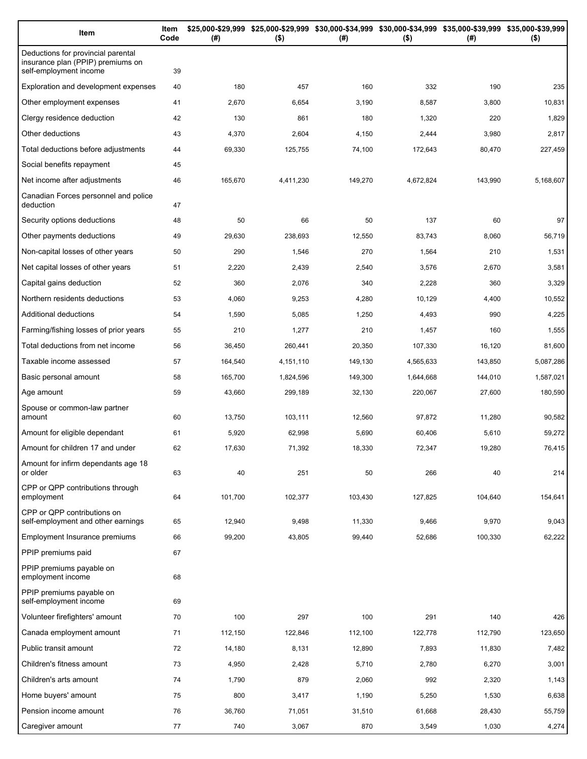| Item                                                                                              | Item<br>Code | (#)     | $($ \$)   | \$25,000-\$29,999 \$25,000-\$29,999 \$30,000-\$34,999 \$30,000-\$34,999 \$35,000-\$39,999 \$35,000-\$39,999<br>(#) | $($ \$)   | (#)     | $($ \$)   |
|---------------------------------------------------------------------------------------------------|--------------|---------|-----------|--------------------------------------------------------------------------------------------------------------------|-----------|---------|-----------|
| Deductions for provincial parental<br>insurance plan (PPIP) premiums on<br>self-employment income | 39           |         |           |                                                                                                                    |           |         |           |
| Exploration and development expenses                                                              | 40           | 180     | 457       | 160                                                                                                                | 332       | 190     | 235       |
| Other employment expenses                                                                         | 41           | 2,670   | 6,654     | 3,190                                                                                                              | 8,587     | 3,800   | 10,831    |
| Clergy residence deduction                                                                        | 42           | 130     | 861       | 180                                                                                                                | 1,320     | 220     | 1,829     |
| Other deductions                                                                                  | 43           | 4,370   | 2,604     | 4,150                                                                                                              | 2,444     | 3,980   | 2,817     |
| Total deductions before adjustments                                                               | 44           | 69,330  | 125,755   | 74,100                                                                                                             | 172,643   | 80,470  | 227,459   |
| Social benefits repayment                                                                         | 45           |         |           |                                                                                                                    |           |         |           |
| Net income after adjustments                                                                      | 46           | 165,670 | 4,411,230 | 149,270                                                                                                            | 4,672,824 | 143,990 | 5,168,607 |
| Canadian Forces personnel and police<br>deduction                                                 | 47           |         |           |                                                                                                                    |           |         |           |
| Security options deductions                                                                       | 48           | 50      | 66        | 50                                                                                                                 | 137       | 60      | 97        |
| Other payments deductions                                                                         | 49           | 29,630  | 238,693   | 12,550                                                                                                             | 83,743    | 8,060   | 56,719    |
| Non-capital losses of other years                                                                 | 50           | 290     | 1,546     | 270                                                                                                                | 1,564     | 210     | 1,531     |
| Net capital losses of other years                                                                 | 51           | 2,220   | 2,439     | 2,540                                                                                                              | 3,576     | 2,670   | 3,581     |
| Capital gains deduction                                                                           | 52           | 360     | 2,076     | 340                                                                                                                | 2,228     | 360     | 3,329     |
| Northern residents deductions                                                                     | 53           | 4,060   | 9,253     | 4,280                                                                                                              | 10,129    | 4,400   | 10,552    |
| Additional deductions                                                                             | 54           | 1,590   | 5,085     | 1,250                                                                                                              | 4,493     | 990     | 4,225     |
| Farming/fishing losses of prior years                                                             | 55           | 210     | 1,277     | 210                                                                                                                | 1,457     | 160     | 1,555     |
| Total deductions from net income                                                                  | 56           | 36,450  | 260,441   | 20,350                                                                                                             | 107,330   | 16,120  | 81,600    |
| Taxable income assessed                                                                           | 57           | 164,540 | 4,151,110 | 149,130                                                                                                            | 4,565,633 | 143,850 | 5,087,286 |
| Basic personal amount                                                                             | 58           | 165,700 | 1,824,596 | 149,300                                                                                                            | 1,644,668 | 144,010 | 1,587,021 |
| Age amount                                                                                        | 59           | 43,660  | 299,189   | 32,130                                                                                                             | 220,067   | 27,600  | 180,590   |
| Spouse or common-law partner<br>amount                                                            | 60           | 13,750  | 103,111   | 12,560                                                                                                             | 97,872    | 11,280  | 90,582    |
| Amount for eligible dependant                                                                     | 61           | 5,920   | 62,998    | 5,690                                                                                                              | 60,406    | 5,610   | 59,272    |
| Amount for children 17 and under                                                                  | 62           | 17,630  | 71,392    | 18,330                                                                                                             | 72,347    | 19,280  | 76,415    |
| Amount for infirm dependants age 18<br>or older                                                   | 63           | 40      | 251       | 50                                                                                                                 | 266       | 40      | 214       |
| CPP or QPP contributions through<br>employment                                                    | 64           | 101.700 | 102,377   | 103,430                                                                                                            | 127,825   | 104,640 | 154,641   |
| CPP or QPP contributions on<br>self-employment and other earnings                                 | 65           | 12,940  | 9,498     | 11,330                                                                                                             | 9,466     | 9,970   | 9,043     |
| Employment Insurance premiums                                                                     | 66           | 99,200  | 43,805    | 99,440                                                                                                             | 52,686    | 100,330 | 62,222    |
| PPIP premiums paid                                                                                | 67           |         |           |                                                                                                                    |           |         |           |
| PPIP premiums payable on<br>employment income                                                     | 68           |         |           |                                                                                                                    |           |         |           |
| PPIP premiums payable on<br>self-employment income                                                | 69           |         |           |                                                                                                                    |           |         |           |
| Volunteer firefighters' amount                                                                    | 70           | 100     | 297       | 100                                                                                                                | 291       | 140     | 426       |
| Canada employment amount                                                                          | 71           | 112,150 | 122,846   | 112,100                                                                                                            | 122,778   | 112,790 | 123,650   |
| Public transit amount                                                                             | 72           | 14,180  | 8,131     | 12,890                                                                                                             | 7,893     | 11,830  | 7,482     |
| Children's fitness amount                                                                         | 73           | 4,950   | 2,428     | 5,710                                                                                                              | 2,780     | 6,270   | 3,001     |
| Children's arts amount                                                                            | 74           | 1,790   | 879       | 2,060                                                                                                              | 992       | 2,320   | 1,143     |
| Home buyers' amount                                                                               | 75           | 800     | 3,417     | 1,190                                                                                                              | 5,250     | 1,530   | 6,638     |
| Pension income amount                                                                             | 76           | 36,760  | 71,051    | 31,510                                                                                                             | 61,668    | 28,430  | 55,759    |
| Caregiver amount                                                                                  | 77           | 740     | 3,067     | 870                                                                                                                | 3,549     | 1,030   | 4,274     |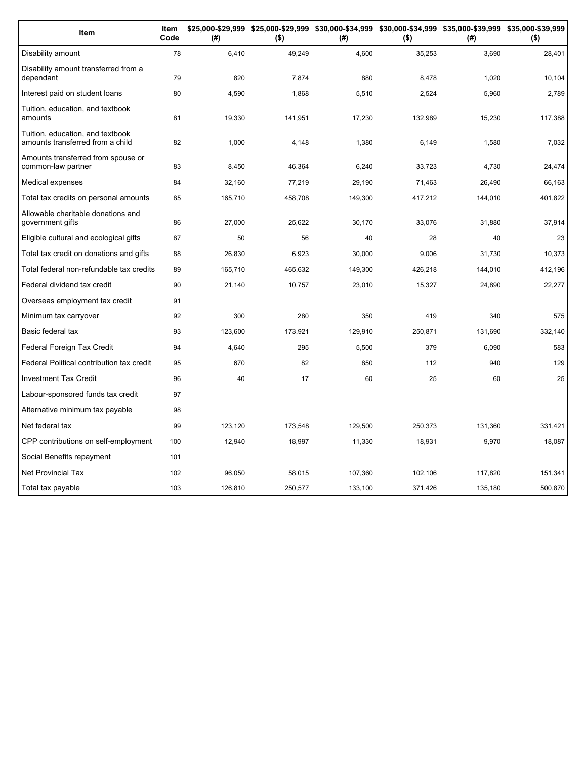| Item                                                                 | Item<br>Code | (#)     | $($ \$) | (#)     | $($ \$) | \$25,000-\$29,999 \$25,000-\$29,999 \$30,000-\$34,999 \$30,000-\$34,999 \$35,000-\$39,999 \$35,000-\$39,999<br>(#) | $($ \$) |
|----------------------------------------------------------------------|--------------|---------|---------|---------|---------|--------------------------------------------------------------------------------------------------------------------|---------|
| Disability amount                                                    | 78           | 6,410   | 49,249  | 4,600   | 35,253  | 3,690                                                                                                              | 28,401  |
| Disability amount transferred from a<br>dependant                    | 79           | 820     | 7,874   | 880     | 8,478   | 1,020                                                                                                              | 10,104  |
| Interest paid on student loans                                       | 80           | 4,590   | 1,868   | 5,510   | 2,524   | 5,960                                                                                                              | 2,789   |
| Tuition, education, and textbook<br>amounts                          | 81           | 19,330  | 141,951 | 17,230  | 132,989 | 15,230                                                                                                             | 117,388 |
| Tuition, education, and textbook<br>amounts transferred from a child | 82           | 1,000   | 4,148   | 1,380   | 6,149   | 1,580                                                                                                              | 7,032   |
| Amounts transferred from spouse or<br>common-law partner             | 83           | 8,450   | 46,364  | 6,240   | 33,723  | 4,730                                                                                                              | 24,474  |
| Medical expenses                                                     | 84           | 32,160  | 77,219  | 29,190  | 71,463  | 26,490                                                                                                             | 66,163  |
| Total tax credits on personal amounts                                | 85           | 165,710 | 458,708 | 149,300 | 417,212 | 144,010                                                                                                            | 401,822 |
| Allowable charitable donations and<br>government gifts               | 86           | 27,000  | 25,622  | 30,170  | 33,076  | 31,880                                                                                                             | 37,914  |
| Eligible cultural and ecological gifts                               | 87           | 50      | 56      | 40      | 28      | 40                                                                                                                 | 23      |
| Total tax credit on donations and gifts                              | 88           | 26,830  | 6,923   | 30,000  | 9,006   | 31,730                                                                                                             | 10,373  |
| Total federal non-refundable tax credits                             | 89           | 165,710 | 465,632 | 149,300 | 426,218 | 144,010                                                                                                            | 412,196 |
| Federal dividend tax credit                                          | 90           | 21,140  | 10,757  | 23,010  | 15,327  | 24,890                                                                                                             | 22,277  |
| Overseas employment tax credit                                       | 91           |         |         |         |         |                                                                                                                    |         |
| Minimum tax carryover                                                | 92           | 300     | 280     | 350     | 419     | 340                                                                                                                | 575     |
| Basic federal tax                                                    | 93           | 123,600 | 173,921 | 129,910 | 250,871 | 131,690                                                                                                            | 332,140 |
| Federal Foreign Tax Credit                                           | 94           | 4,640   | 295     | 5,500   | 379     | 6,090                                                                                                              | 583     |
| Federal Political contribution tax credit                            | 95           | 670     | 82      | 850     | 112     | 940                                                                                                                | 129     |
| <b>Investment Tax Credit</b>                                         | 96           | 40      | 17      | 60      | 25      | 60                                                                                                                 | 25      |
| Labour-sponsored funds tax credit                                    | 97           |         |         |         |         |                                                                                                                    |         |
| Alternative minimum tax payable                                      | 98           |         |         |         |         |                                                                                                                    |         |
| Net federal tax                                                      | 99           | 123.120 | 173,548 | 129,500 | 250,373 | 131,360                                                                                                            | 331,421 |
| CPP contributions on self-employment                                 | 100          | 12,940  | 18,997  | 11,330  | 18,931  | 9,970                                                                                                              | 18,087  |
| Social Benefits repayment                                            | 101          |         |         |         |         |                                                                                                                    |         |
| <b>Net Provincial Tax</b>                                            | 102          | 96,050  | 58,015  | 107,360 | 102,106 | 117,820                                                                                                            | 151,341 |
| Total tax payable                                                    | 103          | 126,810 | 250,577 | 133,100 | 371,426 | 135,180                                                                                                            | 500,870 |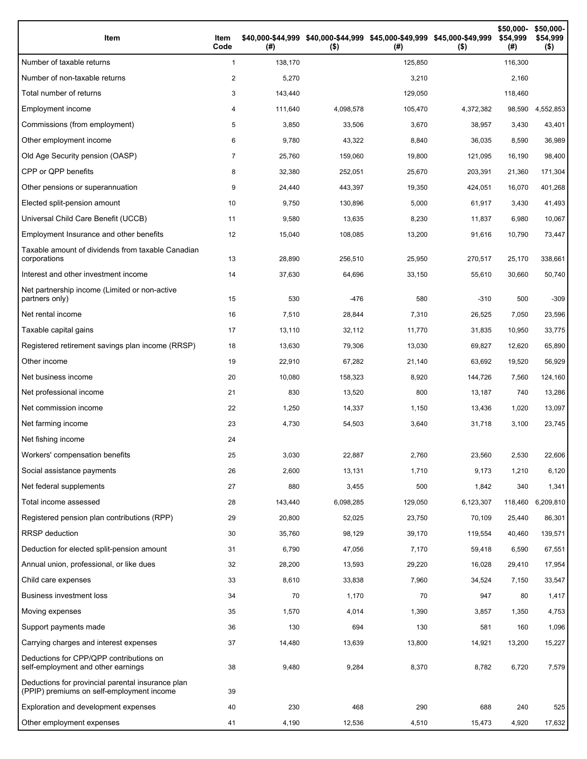| Item                                                                                           | Item<br>Code | (#)     | \$40,000-\$44,999 \$40,000-\$44,999 \$45,000-\$49,999 \$45,000-\$49,999<br>$($ \$) | (# )    | $($ \$)   | \$50,000-<br>\$54,999<br>(#) | \$50,000-<br>\$54,999<br>$($ \$) |
|------------------------------------------------------------------------------------------------|--------------|---------|------------------------------------------------------------------------------------|---------|-----------|------------------------------|----------------------------------|
| Number of taxable returns                                                                      | $\mathbf{1}$ | 138,170 |                                                                                    | 125,850 |           | 116,300                      |                                  |
| Number of non-taxable returns                                                                  | 2            | 5,270   |                                                                                    | 3,210   |           | 2,160                        |                                  |
| Total number of returns                                                                        | 3            | 143,440 |                                                                                    | 129,050 |           | 118,460                      |                                  |
| Employment income                                                                              | 4            | 111,640 | 4,098,578                                                                          | 105,470 | 4,372,382 | 98,590                       | 4,552,853                        |
| Commissions (from employment)                                                                  | 5            | 3,850   | 33,506                                                                             | 3,670   | 38,957    | 3,430                        | 43,401                           |
| Other employment income                                                                        | 6            | 9,780   | 43,322                                                                             | 8,840   | 36,035    | 8,590                        | 36,989                           |
| Old Age Security pension (OASP)                                                                | 7            | 25,760  | 159,060                                                                            | 19,800  | 121,095   | 16,190                       | 98,400                           |
| CPP or QPP benefits                                                                            | 8            | 32,380  | 252,051                                                                            | 25,670  | 203,391   | 21,360                       | 171,304                          |
| Other pensions or superannuation                                                               | 9            | 24,440  | 443,397                                                                            | 19,350  | 424,051   | 16,070                       | 401,268                          |
| Elected split-pension amount                                                                   | 10           | 9,750   | 130,896                                                                            | 5,000   | 61,917    | 3,430                        | 41,493                           |
| Universal Child Care Benefit (UCCB)                                                            | 11           | 9,580   | 13,635                                                                             | 8,230   | 11,837    | 6,980                        | 10,067                           |
| Employment Insurance and other benefits                                                        | 12           | 15,040  | 108,085                                                                            | 13,200  | 91,616    | 10,790                       | 73,447                           |
| Taxable amount of dividends from taxable Canadian<br>corporations                              | 13           | 28,890  | 256,510                                                                            | 25,950  | 270,517   | 25,170                       | 338,661                          |
| Interest and other investment income                                                           | 14           | 37,630  | 64,696                                                                             | 33,150  | 55,610    | 30,660                       | 50,740                           |
| Net partnership income (Limited or non-active<br>partners only)                                | 15           | 530     | $-476$                                                                             | 580     | $-310$    | 500                          | $-309$                           |
| Net rental income                                                                              | 16           | 7,510   | 28,844                                                                             | 7,310   | 26,525    | 7,050                        | 23,596                           |
| Taxable capital gains                                                                          | 17           | 13,110  | 32,112                                                                             | 11,770  | 31,835    | 10,950                       | 33,775                           |
| Registered retirement savings plan income (RRSP)                                               | 18           | 13,630  | 79,306                                                                             | 13,030  | 69,827    | 12,620                       | 65,890                           |
| Other income                                                                                   | 19           | 22,910  | 67,282                                                                             | 21,140  | 63,692    | 19,520                       | 56,929                           |
| Net business income                                                                            | 20           | 10,080  | 158,323                                                                            | 8,920   | 144,726   | 7,560                        | 124,160                          |
| Net professional income                                                                        | 21           | 830     | 13,520                                                                             | 800     | 13,187    | 740                          | 13,286                           |
| Net commission income                                                                          | 22           | 1,250   | 14,337                                                                             | 1,150   | 13,436    | 1,020                        | 13,097                           |
| Net farming income                                                                             | 23           | 4,730   | 54,503                                                                             | 3,640   | 31,718    | 3,100                        | 23,745                           |
| Net fishing income                                                                             | 24           |         |                                                                                    |         |           |                              |                                  |
| Workers' compensation benefits                                                                 | 25           | 3,030   | 22,887                                                                             | 2,760   | 23,560    | 2,530                        | 22,606                           |
| Social assistance payments                                                                     | 26           | 2,600   | 13,131                                                                             | 1,710   | 9,173     | 1,210                        | 6,120                            |
| Net federal supplements                                                                        | 27           | 880     | 3,455                                                                              | 500     | 1,842     | 340                          | 1,341                            |
| Total income assessed                                                                          | 28           | 143,440 | 6,098,285                                                                          | 129,050 | 6,123,307 | 118,460                      | 6,209,810                        |
| Registered pension plan contributions (RPP)                                                    | 29           | 20,800  | 52,025                                                                             | 23,750  | 70,109    | 25,440                       | 86,301                           |
| RRSP deduction                                                                                 | 30           | 35,760  | 98,129                                                                             | 39,170  | 119,554   | 40,460                       | 139,571                          |
| Deduction for elected split-pension amount                                                     | 31           | 6,790   | 47,056                                                                             | 7,170   | 59,418    | 6,590                        | 67,551                           |
| Annual union, professional, or like dues                                                       | 32           | 28,200  | 13,593                                                                             | 29,220  | 16,028    | 29,410                       | 17,954                           |
| Child care expenses                                                                            | 33           | 8,610   | 33,838                                                                             | 7,960   | 34,524    | 7,150                        | 33,547                           |
| <b>Business investment loss</b>                                                                | 34           | 70      | 1,170                                                                              | 70      | 947       | 80                           | 1,417                            |
| Moving expenses                                                                                | 35           | 1,570   | 4,014                                                                              | 1,390   | 3,857     | 1,350                        | 4,753                            |
| Support payments made                                                                          | 36           | 130     | 694                                                                                | 130     | 581       | 160                          | 1,096                            |
| Carrying charges and interest expenses                                                         | 37           | 14,480  | 13,639                                                                             | 13,800  | 14,921    | 13,200                       | 15,227                           |
| Deductions for CPP/QPP contributions on<br>self-employment and other earnings                  | 38           | 9,480   | 9,284                                                                              | 8,370   | 8,782     | 6,720                        | 7,579                            |
| Deductions for provincial parental insurance plan<br>(PPIP) premiums on self-employment income | 39           |         |                                                                                    |         |           |                              |                                  |
| Exploration and development expenses                                                           | 40           | 230     | 468                                                                                | 290     | 688       | 240                          | 525                              |
| Other employment expenses                                                                      | 41           | 4,190   | 12,536                                                                             | 4,510   | 15,473    | 4,920                        | 17,632                           |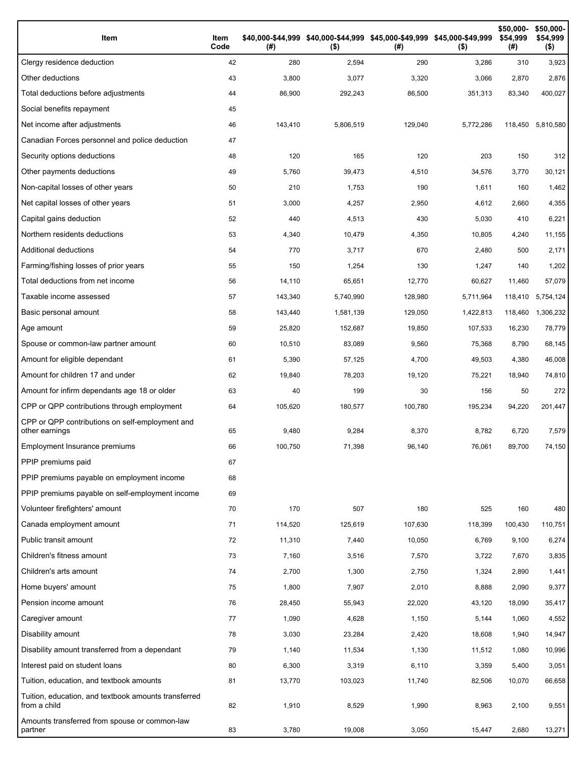| Item                                                                 | Item<br>Code | (#)     | \$40,000-\$44,999 \$40,000-\$44,999 \$45,000-\$49,999 \$45,000-\$49,999<br>$($ \$) | (# )    | $($ \$)   | \$50,000-<br>\$54,999<br>(#) | \$50,000-<br>\$54,999<br>$($ \$) |
|----------------------------------------------------------------------|--------------|---------|------------------------------------------------------------------------------------|---------|-----------|------------------------------|----------------------------------|
| Clergy residence deduction                                           | 42           | 280     | 2,594                                                                              | 290     | 3,286     | 310                          | 3,923                            |
| Other deductions                                                     | 43           | 3,800   | 3,077                                                                              | 3,320   | 3,066     | 2,870                        | 2,876                            |
| Total deductions before adjustments                                  | 44           | 86,900  | 292,243                                                                            | 86,500  | 351,313   | 83,340                       | 400,027                          |
| Social benefits repayment                                            | 45           |         |                                                                                    |         |           |                              |                                  |
| Net income after adjustments                                         | 46           | 143,410 | 5,806,519                                                                          | 129,040 | 5,772,286 | 118,450                      | 5,810,580                        |
| Canadian Forces personnel and police deduction                       | 47           |         |                                                                                    |         |           |                              |                                  |
| Security options deductions                                          | 48           | 120     | 165                                                                                | 120     | 203       | 150                          | 312                              |
| Other payments deductions                                            | 49           | 5,760   | 39,473                                                                             | 4,510   | 34,576    | 3,770                        | 30,121                           |
| Non-capital losses of other years                                    | 50           | 210     | 1,753                                                                              | 190     | 1,611     | 160                          | 1,462                            |
| Net capital losses of other years                                    | 51           | 3,000   | 4,257                                                                              | 2,950   | 4,612     | 2,660                        | 4,355                            |
| Capital gains deduction                                              | 52           | 440     | 4,513                                                                              | 430     | 5,030     | 410                          | 6,221                            |
| Northern residents deductions                                        | 53           | 4,340   | 10,479                                                                             | 4,350   | 10,805    | 4,240                        | 11,155                           |
| Additional deductions                                                | 54           | 770     | 3,717                                                                              | 670     | 2,480     | 500                          | 2,171                            |
| Farming/fishing losses of prior years                                | 55           | 150     | 1,254                                                                              | 130     | 1,247     | 140                          | 1,202                            |
| Total deductions from net income                                     | 56           | 14,110  | 65,651                                                                             | 12,770  | 60,627    | 11,460                       | 57,079                           |
| Taxable income assessed                                              | 57           | 143,340 | 5,740,990                                                                          | 128,980 | 5,711,964 | 118,410                      | 5,754,124                        |
| Basic personal amount                                                | 58           | 143,440 | 1,581,139                                                                          | 129,050 | 1,422,813 | 118,460                      | 1,306,232                        |
| Age amount                                                           | 59           | 25,820  | 152,687                                                                            | 19,850  | 107,533   | 16,230                       | 78,779                           |
| Spouse or common-law partner amount                                  | 60           | 10,510  | 83,089                                                                             | 9,560   | 75,368    | 8,790                        | 68,145                           |
| Amount for eligible dependant                                        | 61           | 5,390   | 57,125                                                                             | 4,700   | 49,503    | 4,380                        | 46,008                           |
| Amount for children 17 and under                                     | 62           | 19,840  | 78,203                                                                             | 19,120  | 75,221    | 18,940                       | 74,810                           |
| Amount for infirm dependants age 18 or older                         | 63           | 40      | 199                                                                                | 30      | 156       | 50                           | 272                              |
| CPP or QPP contributions through employment                          | 64           | 105,620 | 180,577                                                                            | 100,780 | 195,234   | 94,220                       | 201,447                          |
| CPP or QPP contributions on self-employment and<br>other earnings    | 65           | 9,480   | 9,284                                                                              | 8,370   | 8,782     | 6,720                        | 7,579                            |
| Employment Insurance premiums                                        | 66           | 100,750 | 71,398                                                                             | 96,140  | 76,061    | 89,700                       | 74,150                           |
| PPIP premiums paid                                                   | 67           |         |                                                                                    |         |           |                              |                                  |
| PPIP premiums payable on employment income                           | 68           |         |                                                                                    |         |           |                              |                                  |
| PPIP premiums payable on self-employment income                      | 69           |         |                                                                                    |         |           |                              |                                  |
| Volunteer firefighters' amount                                       | 70           | 170     | 507                                                                                | 180     | 525       | 160                          | 480                              |
| Canada employment amount                                             | 71           | 114,520 | 125,619                                                                            | 107,630 | 118,399   | 100,430                      | 110,751                          |
| Public transit amount                                                | 72           | 11,310  | 7,440                                                                              | 10,050  | 6,769     | 9,100                        | 6,274                            |
| Children's fitness amount                                            | 73           | 7,160   | 3,516                                                                              | 7,570   | 3,722     | 7,670                        | 3,835                            |
| Children's arts amount                                               | 74           | 2,700   | 1,300                                                                              | 2,750   | 1,324     | 2,890                        | 1,441                            |
| Home buyers' amount                                                  | 75           | 1,800   | 7,907                                                                              | 2,010   | 8,888     | 2,090                        | 9,377                            |
| Pension income amount                                                | 76           | 28,450  | 55,943                                                                             | 22,020  | 43,120    | 18,090                       | 35,417                           |
| Caregiver amount                                                     | 77           | 1,090   | 4,628                                                                              | 1,150   | 5,144     | 1,060                        | 4,552                            |
| Disability amount                                                    | 78           | 3,030   | 23,284                                                                             | 2,420   | 18,608    | 1,940                        | 14,947                           |
| Disability amount transferred from a dependant                       | 79           | 1,140   | 11,534                                                                             | 1,130   | 11,512    | 1,080                        | 10,996                           |
| Interest paid on student loans                                       | 80           | 6,300   | 3,319                                                                              | 6,110   | 3,359     | 5,400                        | 3,051                            |
| Tuition, education, and textbook amounts                             | 81           | 13,770  | 103,023                                                                            | 11,740  | 82,506    | 10,070                       | 66,658                           |
| Tuition, education, and textbook amounts transferred<br>from a child | 82           | 1,910   | 8,529                                                                              | 1,990   | 8,963     | 2,100                        | 9,551                            |
| Amounts transferred from spouse or common-law<br>partner             | 83           | 3,780   | 19,008                                                                             | 3,050   | 15,447    | 2,680                        | 13,271                           |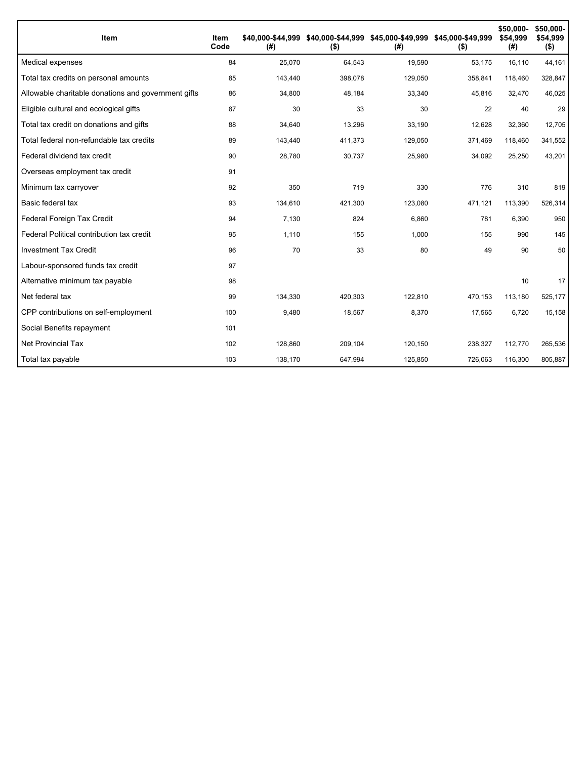| Item                                                | Item<br>Code | (#)     | \$40,000-\$44,999 \$40,000-\$44,999 \$45,000-\$49,999 \$45,000-\$49,999<br>$($ \$) | (#)     | $($ \$) | \$50,000-<br>\$54,999<br>(#) | \$50,000-<br>\$54,999<br>$($ \$) |
|-----------------------------------------------------|--------------|---------|------------------------------------------------------------------------------------|---------|---------|------------------------------|----------------------------------|
| Medical expenses                                    | 84           | 25,070  | 64,543                                                                             | 19,590  | 53,175  | 16,110                       | 44,161                           |
| Total tax credits on personal amounts               | 85           | 143,440 | 398,078                                                                            | 129,050 | 358,841 | 118,460                      | 328,847                          |
| Allowable charitable donations and government gifts | 86           | 34,800  | 48,184                                                                             | 33,340  | 45,816  | 32,470                       | 46,025                           |
| Eligible cultural and ecological gifts              | 87           | 30      | 33                                                                                 | 30      | 22      | 40                           | 29                               |
| Total tax credit on donations and gifts             | 88           | 34,640  | 13,296                                                                             | 33.190  | 12,628  | 32,360                       | 12,705                           |
| Total federal non-refundable tax credits            | 89           | 143,440 | 411,373                                                                            | 129,050 | 371,469 | 118,460                      | 341,552                          |
| Federal dividend tax credit                         | 90           | 28,780  | 30,737                                                                             | 25,980  | 34,092  | 25,250                       | 43,201                           |
| Overseas employment tax credit                      | 91           |         |                                                                                    |         |         |                              |                                  |
| Minimum tax carryover                               | 92           | 350     | 719                                                                                | 330     | 776     | 310                          | 819                              |
| Basic federal tax                                   | 93           | 134,610 | 421,300                                                                            | 123,080 | 471,121 | 113,390                      | 526,314                          |
| Federal Foreign Tax Credit                          | 94           | 7,130   | 824                                                                                | 6,860   | 781     | 6,390                        | 950                              |
| Federal Political contribution tax credit           | 95           | 1,110   | 155                                                                                | 1,000   | 155     | 990                          | 145                              |
| <b>Investment Tax Credit</b>                        | 96           | 70      | 33                                                                                 | 80      | 49      | 90                           | 50                               |
| Labour-sponsored funds tax credit                   | 97           |         |                                                                                    |         |         |                              |                                  |
| Alternative minimum tax payable                     | 98           |         |                                                                                    |         |         | 10                           | 17                               |
| Net federal tax                                     | 99           | 134,330 | 420,303                                                                            | 122,810 | 470,153 | 113,180                      | 525,177                          |
| CPP contributions on self-employment                | 100          | 9,480   | 18,567                                                                             | 8,370   | 17,565  | 6.720                        | 15,158                           |
| Social Benefits repayment                           | 101          |         |                                                                                    |         |         |                              |                                  |
| <b>Net Provincial Tax</b>                           | 102          | 128,860 | 209,104                                                                            | 120,150 | 238,327 | 112,770                      | 265,536                          |
| Total tax payable                                   | 103          | 138,170 | 647,994                                                                            | 125,850 | 726,063 | 116,300                      | 805,887                          |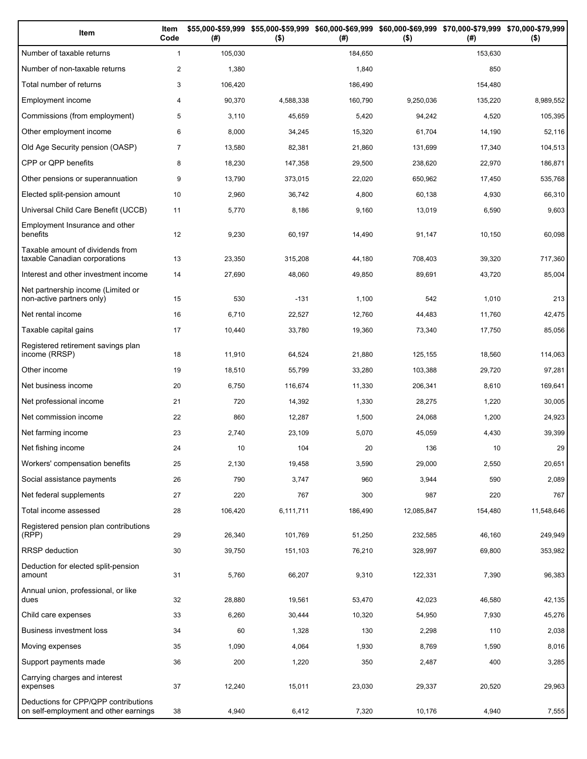| Item                                                                          | Item<br>Code   | (# )    | \$55,000-\$59,999 \$55,000-\$59,999<br>$($ \$) | (# )    | \$60,000-\$69,999 \$60,000-\$69,999 \$70,000-\$79,999 \$70,000-\$79,999<br>$($ \$) | (# )    | $($ \$)    |
|-------------------------------------------------------------------------------|----------------|---------|------------------------------------------------|---------|------------------------------------------------------------------------------------|---------|------------|
| Number of taxable returns                                                     | $\mathbf{1}$   | 105,030 |                                                | 184,650 |                                                                                    | 153,630 |            |
| Number of non-taxable returns                                                 | $\overline{2}$ | 1,380   |                                                | 1,840   |                                                                                    | 850     |            |
| Total number of returns                                                       | 3              | 106,420 |                                                | 186,490 |                                                                                    | 154,480 |            |
| Employment income                                                             | 4              | 90,370  | 4,588,338                                      | 160,790 | 9,250,036                                                                          | 135,220 | 8,989,552  |
| Commissions (from employment)                                                 | 5              | 3,110   | 45,659                                         | 5,420   | 94,242                                                                             | 4,520   | 105,395    |
| Other employment income                                                       | 6              | 8,000   | 34,245                                         | 15,320  | 61,704                                                                             | 14,190  | 52,116     |
| Old Age Security pension (OASP)                                               | $\overline{7}$ | 13,580  | 82,381                                         | 21,860  | 131,699                                                                            | 17,340  | 104,513    |
| CPP or QPP benefits                                                           | 8              | 18,230  | 147,358                                        | 29,500  | 238,620                                                                            | 22,970  | 186,871    |
| Other pensions or superannuation                                              | 9              | 13,790  | 373,015                                        | 22,020  | 650,962                                                                            | 17,450  | 535,768    |
| Elected split-pension amount                                                  | 10             | 2,960   | 36,742                                         | 4,800   | 60,138                                                                             | 4,930   | 66,310     |
| Universal Child Care Benefit (UCCB)                                           | 11             | 5,770   | 8,186                                          | 9,160   | 13,019                                                                             | 6,590   | 9,603      |
| Employment Insurance and other<br>benefits                                    | 12             | 9,230   | 60,197                                         | 14,490  | 91,147                                                                             | 10,150  | 60,098     |
| Taxable amount of dividends from<br>taxable Canadian corporations             | 13             | 23,350  | 315,208                                        | 44,180  | 708,403                                                                            | 39,320  | 717,360    |
| Interest and other investment income                                          | 14             | 27,690  | 48,060                                         | 49,850  | 89,691                                                                             | 43,720  | 85,004     |
| Net partnership income (Limited or<br>non-active partners only)               | 15             | 530     | $-131$                                         | 1,100   | 542                                                                                | 1,010   | 213        |
| Net rental income                                                             | 16             | 6,710   | 22,527                                         | 12,760  | 44,483                                                                             | 11,760  | 42,475     |
| Taxable capital gains                                                         | 17             | 10,440  | 33,780                                         | 19,360  | 73,340                                                                             | 17,750  | 85,056     |
| Registered retirement savings plan<br>income (RRSP)                           | 18             | 11,910  | 64,524                                         | 21,880  | 125,155                                                                            | 18,560  | 114,063    |
| Other income                                                                  | 19             | 18,510  | 55,799                                         | 33,280  | 103,388                                                                            | 29,720  | 97,281     |
| Net business income                                                           | 20             | 6,750   | 116,674                                        | 11,330  | 206,341                                                                            | 8,610   | 169,641    |
| Net professional income                                                       | 21             | 720     | 14,392                                         | 1,330   | 28,275                                                                             | 1,220   | 30,005     |
| Net commission income                                                         | 22             | 860     | 12,287                                         | 1,500   | 24,068                                                                             | 1,200   | 24,923     |
| Net farming income                                                            | 23             | 2,740   | 23,109                                         | 5,070   | 45,059                                                                             | 4,430   | 39,399     |
| Net fishing income                                                            | 24             | 10      | 104                                            | 20      | 136                                                                                | 10      | 29         |
| Workers' compensation benefits                                                | 25             | 2,130   | 19,458                                         | 3,590   | 29,000                                                                             | 2,550   | 20,651     |
| Social assistance payments                                                    | 26             | 790     | 3,747                                          | 960     | 3,944                                                                              | 590     | 2,089      |
| Net federal supplements                                                       | 27             | 220     | 767                                            | 300     | 987                                                                                | 220     | 767        |
| Total income assessed                                                         | 28             | 106,420 | 6,111,711                                      | 186,490 | 12,085,847                                                                         | 154,480 | 11,548,646 |
| Registered pension plan contributions<br>(RPP)                                | 29             | 26,340  | 101,769                                        | 51,250  | 232,585                                                                            | 46,160  | 249,949    |
| RRSP deduction                                                                | 30             | 39,750  | 151,103                                        | 76,210  | 328,997                                                                            | 69,800  | 353,982    |
| Deduction for elected split-pension<br>amount                                 | 31             | 5,760   | 66,207                                         | 9,310   | 122,331                                                                            | 7,390   | 96,383     |
| Annual union, professional, or like<br>dues                                   | 32             | 28,880  | 19,561                                         | 53,470  | 42,023                                                                             | 46,580  | 42,135     |
| Child care expenses                                                           | 33             | 6,260   | 30,444                                         | 10,320  | 54,950                                                                             | 7,930   | 45,276     |
| Business investment loss                                                      | 34             | 60      | 1,328                                          | 130     | 2,298                                                                              | 110     | 2,038      |
| Moving expenses                                                               | 35             | 1,090   | 4,064                                          | 1,930   | 8,769                                                                              | 1,590   | 8,016      |
| Support payments made                                                         | 36             | 200     | 1,220                                          | 350     | 2,487                                                                              | 400     | 3,285      |
| Carrying charges and interest<br>expenses                                     | 37             | 12,240  | 15,011                                         | 23,030  | 29,337                                                                             | 20,520  | 29,963     |
| Deductions for CPP/QPP contributions<br>on self-employment and other earnings | 38             | 4,940   | 6,412                                          | 7,320   | 10,176                                                                             | 4,940   | 7,555      |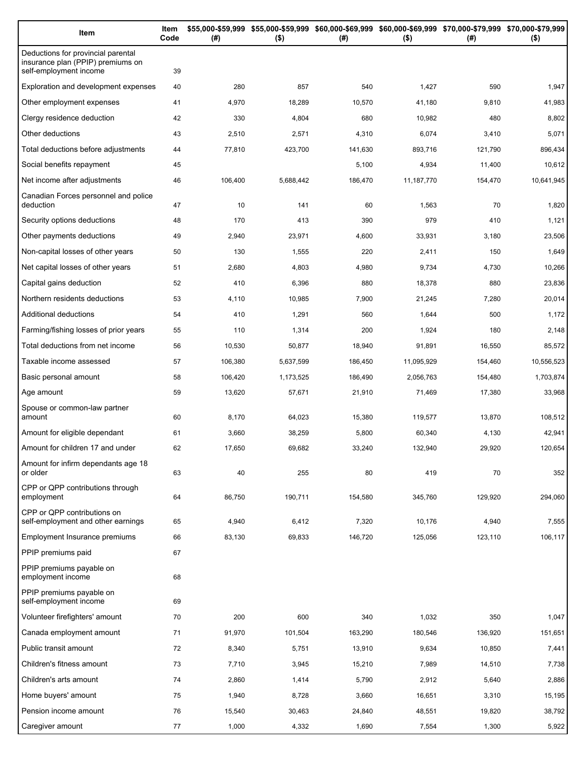| Item                                                                                              | Item<br>Code | (#)     | $($ \$)   | \$55,000-\$59,999 \$55,000-\$59,999 \$60,000-\$69,999 \$60,000-\$69,999 \$70,000-\$79,999 \$70,000-\$79,999<br>(#) | $($ \$)    | (# )    | $($ \$)    |
|---------------------------------------------------------------------------------------------------|--------------|---------|-----------|--------------------------------------------------------------------------------------------------------------------|------------|---------|------------|
| Deductions for provincial parental<br>insurance plan (PPIP) premiums on<br>self-employment income | 39           |         |           |                                                                                                                    |            |         |            |
| Exploration and development expenses                                                              | 40           | 280     | 857       | 540                                                                                                                | 1,427      | 590     | 1,947      |
| Other employment expenses                                                                         | 41           | 4,970   | 18,289    | 10,570                                                                                                             | 41,180     | 9,810   | 41,983     |
| Clergy residence deduction                                                                        | 42           | 330     | 4,804     | 680                                                                                                                | 10,982     | 480     | 8,802      |
| Other deductions                                                                                  | 43           | 2,510   | 2,571     | 4,310                                                                                                              | 6,074      | 3,410   | 5,071      |
| Total deductions before adjustments                                                               | 44           | 77,810  | 423,700   | 141,630                                                                                                            | 893,716    | 121,790 | 896,434    |
| Social benefits repayment                                                                         | 45           |         |           | 5,100                                                                                                              | 4,934      | 11,400  | 10,612     |
| Net income after adjustments                                                                      | 46           | 106,400 | 5,688,442 | 186,470                                                                                                            | 11,187,770 | 154,470 | 10,641,945 |
| Canadian Forces personnel and police<br>deduction                                                 | 47           | 10      | 141       | 60                                                                                                                 | 1,563      | 70      | 1,820      |
| Security options deductions                                                                       | 48           | 170     | 413       | 390                                                                                                                | 979        | 410     | 1,121      |
| Other payments deductions                                                                         | 49           | 2,940   | 23,971    | 4,600                                                                                                              | 33,931     | 3,180   | 23,506     |
| Non-capital losses of other years                                                                 | 50           | 130     | 1,555     | 220                                                                                                                | 2,411      | 150     | 1,649      |
| Net capital losses of other years                                                                 | 51           | 2,680   | 4,803     | 4,980                                                                                                              | 9,734      | 4,730   | 10,266     |
| Capital gains deduction                                                                           | 52           | 410     | 6,396     | 880                                                                                                                | 18,378     | 880     | 23,836     |
| Northern residents deductions                                                                     | 53           | 4,110   | 10,985    | 7,900                                                                                                              | 21,245     | 7,280   | 20,014     |
| Additional deductions                                                                             | 54           | 410     | 1,291     | 560                                                                                                                | 1,644      | 500     | 1,172      |
| Farming/fishing losses of prior years                                                             | 55           | 110     | 1,314     | 200                                                                                                                | 1,924      | 180     | 2,148      |
| Total deductions from net income                                                                  | 56           | 10,530  | 50,877    | 18,940                                                                                                             | 91,891     | 16,550  | 85,572     |
| Taxable income assessed                                                                           | 57           | 106,380 | 5,637,599 | 186,450                                                                                                            | 11,095,929 | 154,460 | 10,556,523 |
| Basic personal amount                                                                             | 58           | 106,420 | 1,173,525 | 186,490                                                                                                            | 2,056,763  | 154,480 | 1,703,874  |
| Age amount                                                                                        | 59           | 13,620  | 57,671    | 21,910                                                                                                             | 71,469     | 17,380  | 33,968     |
| Spouse or common-law partner<br>amount                                                            | 60           | 8,170   | 64,023    | 15,380                                                                                                             | 119,577    | 13,870  | 108,512    |
| Amount for eligible dependant                                                                     | 61           | 3,660   | 38,259    | 5,800                                                                                                              | 60,340     | 4,130   | 42,941     |
| Amount for children 17 and under                                                                  | 62           | 17,650  | 69,682    | 33,240                                                                                                             | 132,940    | 29,920  | 120,654    |
| Amount for infirm dependants age 18<br>or older                                                   | 63           | 40      | 255       | 80                                                                                                                 | 419        | 70      | 352        |
| CPP or QPP contributions through<br>employment                                                    | 64           | 86,750  | 190,711   | 154,580                                                                                                            | 345,760    | 129,920 | 294,060    |
| CPP or QPP contributions on<br>self-employment and other earnings                                 | 65           | 4,940   | 6,412     | 7,320                                                                                                              | 10,176     | 4,940   | 7,555      |
| Employment Insurance premiums                                                                     | 66           | 83,130  | 69,833    | 146,720                                                                                                            | 125,056    | 123,110 | 106,117    |
| PPIP premiums paid                                                                                | 67           |         |           |                                                                                                                    |            |         |            |
| PPIP premiums payable on<br>employment income                                                     | 68           |         |           |                                                                                                                    |            |         |            |
| PPIP premiums payable on<br>self-employment income                                                | 69           |         |           |                                                                                                                    |            |         |            |
| Volunteer firefighters' amount                                                                    | 70           | 200     | 600       | 340                                                                                                                | 1,032      | 350     | 1,047      |
| Canada employment amount                                                                          | 71           | 91,970  | 101,504   | 163,290                                                                                                            | 180,546    | 136,920 | 151,651    |
| Public transit amount                                                                             | 72           | 8,340   | 5,751     | 13,910                                                                                                             | 9,634      | 10,850  | 7,441      |
| Children's fitness amount                                                                         | 73           | 7,710   | 3,945     | 15,210                                                                                                             | 7,989      | 14,510  | 7,738      |
| Children's arts amount                                                                            | 74           | 2,860   | 1,414     | 5,790                                                                                                              | 2,912      | 5,640   | 2,886      |
| Home buyers' amount                                                                               | 75           | 1,940   | 8,728     | 3,660                                                                                                              | 16,651     | 3,310   | 15,195     |
| Pension income amount                                                                             | 76           | 15,540  | 30,463    | 24,840                                                                                                             | 48,551     | 19,820  | 38,792     |
| Caregiver amount                                                                                  | 77           | 1,000   | 4,332     | 1,690                                                                                                              | 7,554      | 1,300   | 5,922      |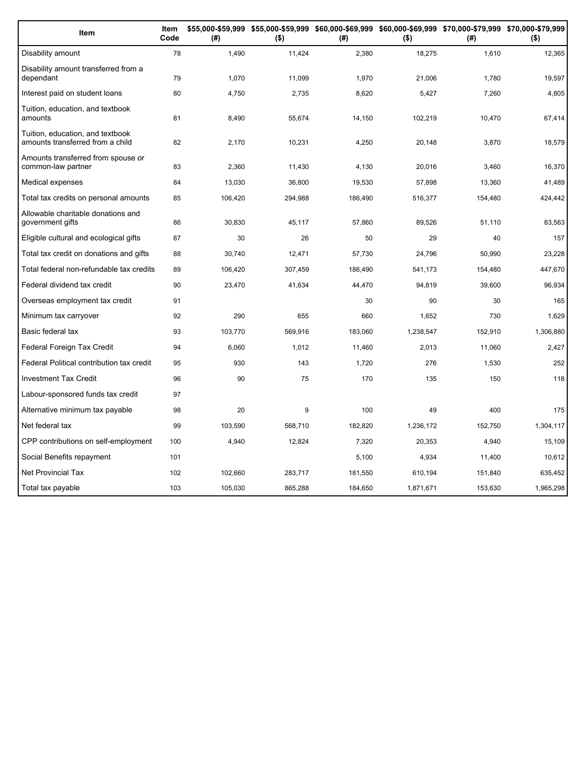| Item                                                                 | Item<br>Code | (#)     | \$55,000-\$59,999 \$55,000-\$59,999 \$60,000-\$69,999 \$60,000-\$69,999 \$70,000-\$79,999 \$70,000-\$79,999<br>$($ \$) | (#)     | $($ \$)   | (# )    | $($ \$)   |
|----------------------------------------------------------------------|--------------|---------|------------------------------------------------------------------------------------------------------------------------|---------|-----------|---------|-----------|
| Disability amount                                                    | 78           | 1,490   | 11,424                                                                                                                 | 2,380   | 18,275    | 1,610   | 12,365    |
| Disability amount transferred from a<br>dependant                    | 79           | 1,070   | 11,099                                                                                                                 | 1,970   | 21,006    | 1,780   | 19,597    |
| Interest paid on student loans                                       | 80           | 4,750   | 2,735                                                                                                                  | 8,620   | 5,427     | 7,260   | 4,805     |
| Tuition, education, and textbook<br>amounts                          | 81           | 8,490   | 55,674                                                                                                                 | 14,150  | 102,219   | 10,470  | 67,414    |
| Tuition, education, and textbook<br>amounts transferred from a child | 82           | 2,170   | 10,231                                                                                                                 | 4,250   | 20,148    | 3,870   | 18,579    |
| Amounts transferred from spouse or<br>common-law partner             | 83           | 2,360   | 11,430                                                                                                                 | 4,130   | 20,016    | 3,460   | 16,370    |
| Medical expenses                                                     | 84           | 13,030  | 36,800                                                                                                                 | 19,530  | 57,898    | 13,360  | 41,489    |
| Total tax credits on personal amounts                                | 85           | 106,420 | 294,988                                                                                                                | 186,490 | 516,377   | 154,480 | 424,442   |
| Allowable charitable donations and<br>government gifts               | 86           | 30,830  | 45,117                                                                                                                 | 57,860  | 89,526    | 51,110  | 83,563    |
| Eligible cultural and ecological gifts                               | 87           | 30      | 26                                                                                                                     | 50      | 29        | 40      | 157       |
| Total tax credit on donations and gifts                              | 88           | 30,740  | 12,471                                                                                                                 | 57,730  | 24,796    | 50,990  | 23,228    |
| Total federal non-refundable tax credits                             | 89           | 106,420 | 307,459                                                                                                                | 186,490 | 541,173   | 154,480 | 447,670   |
| Federal dividend tax credit                                          | 90           | 23,470  | 41,634                                                                                                                 | 44,470  | 94,819    | 39,600  | 96,934    |
| Overseas employment tax credit                                       | 91           |         |                                                                                                                        | 30      | 90        | 30      | 165       |
| Minimum tax carryover                                                | 92           | 290     | 655                                                                                                                    | 660     | 1,652     | 730     | 1,629     |
| Basic federal tax                                                    | 93           | 103,770 | 569,916                                                                                                                | 183,060 | 1,238,547 | 152,910 | 1,306,880 |
| Federal Foreign Tax Credit                                           | 94           | 6.060   | 1,012                                                                                                                  | 11.460  | 2.013     | 11.060  | 2,427     |
| Federal Political contribution tax credit                            | 95           | 930     | 143                                                                                                                    | 1,720   | 276       | 1,530   | 252       |
| <b>Investment Tax Credit</b>                                         | 96           | 90      | 75                                                                                                                     | 170     | 135       | 150     | 118       |
| Labour-sponsored funds tax credit                                    | 97           |         |                                                                                                                        |         |           |         |           |
| Alternative minimum tax payable                                      | 98           | 20      | 9                                                                                                                      | 100     | 49        | 400     | 175       |
| Net federal tax                                                      | 99           | 103,590 | 568,710                                                                                                                | 182,820 | 1,236,172 | 152,750 | 1,304,117 |
| CPP contributions on self-employment                                 | 100          | 4,940   | 12,824                                                                                                                 | 7,320   | 20,353    | 4,940   | 15,109    |
| Social Benefits repayment                                            | 101          |         |                                                                                                                        | 5,100   | 4,934     | 11,400  | 10,612    |
| <b>Net Provincial Tax</b>                                            | 102          | 102,660 | 283,717                                                                                                                | 181,550 | 610,194   | 151,840 | 635,452   |
| Total tax payable                                                    | 103          | 105.030 | 865.288                                                                                                                | 184.650 | 1.871.671 | 153.630 | 1,965,298 |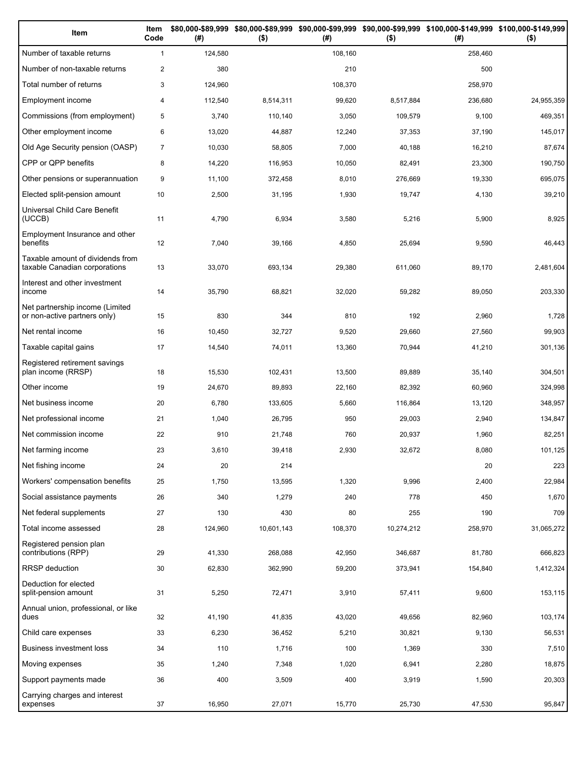| Item                                                              | Item<br>Code   | (# )    | $($ \$)    | (#)     | $($ \$)    | \$80,000-\$89,999 \$80,000-\$89,999 \$90,000-\$99,999 \$90,000-\$99,999 \$100,000-\$149,999 \$100,000-\$149,999<br>(# ) | $($ \$)    |
|-------------------------------------------------------------------|----------------|---------|------------|---------|------------|-------------------------------------------------------------------------------------------------------------------------|------------|
| Number of taxable returns                                         | $\mathbf{1}$   | 124,580 |            | 108,160 |            | 258,460                                                                                                                 |            |
| Number of non-taxable returns                                     | $\overline{2}$ | 380     |            | 210     |            | 500                                                                                                                     |            |
| Total number of returns                                           | 3              | 124,960 |            | 108,370 |            | 258,970                                                                                                                 |            |
| Employment income                                                 | $\overline{4}$ | 112,540 | 8,514,311  | 99,620  | 8,517,884  | 236,680                                                                                                                 | 24,955,359 |
| Commissions (from employment)                                     | 5              | 3,740   | 110,140    | 3,050   | 109,579    | 9,100                                                                                                                   | 469,351    |
| Other employment income                                           | 6              | 13,020  | 44,887     | 12,240  | 37,353     | 37,190                                                                                                                  | 145,017    |
| Old Age Security pension (OASP)                                   | $\overline{7}$ | 10,030  | 58,805     | 7,000   | 40,188     | 16,210                                                                                                                  | 87,674     |
| CPP or QPP benefits                                               | 8              | 14,220  | 116,953    | 10,050  | 82,491     | 23,300                                                                                                                  | 190,750    |
| Other pensions or superannuation                                  | 9              | 11,100  | 372,458    | 8,010   | 276,669    | 19,330                                                                                                                  | 695,075    |
| Elected split-pension amount                                      | 10             | 2,500   | 31,195     | 1,930   | 19,747     | 4,130                                                                                                                   | 39,210     |
| Universal Child Care Benefit<br>(UCCB)                            | 11             | 4,790   | 6,934      | 3,580   | 5,216      | 5,900                                                                                                                   | 8,925      |
| Employment Insurance and other<br>benefits                        | 12             | 7,040   | 39,166     | 4,850   | 25,694     | 9,590                                                                                                                   | 46,443     |
| Taxable amount of dividends from<br>taxable Canadian corporations | 13             | 33,070  | 693,134    | 29,380  | 611,060    | 89,170                                                                                                                  | 2,481,604  |
| Interest and other investment<br>income                           | 14             | 35,790  | 68,821     | 32,020  | 59,282     | 89,050                                                                                                                  | 203,330    |
| Net partnership income (Limited<br>or non-active partners only)   | 15             | 830     | 344        | 810     | 192        | 2,960                                                                                                                   | 1,728      |
| Net rental income                                                 | 16             | 10,450  | 32,727     | 9,520   | 29,660     | 27,560                                                                                                                  | 99,903     |
| Taxable capital gains                                             | 17             | 14,540  | 74,011     | 13,360  | 70,944     | 41,210                                                                                                                  | 301,136    |
| Registered retirement savings<br>plan income (RRSP)               | 18             | 15,530  | 102,431    | 13,500  | 89,889     | 35,140                                                                                                                  | 304,501    |
| Other income                                                      | 19             | 24,670  | 89,893     | 22,160  | 82,392     | 60,960                                                                                                                  | 324,998    |
| Net business income                                               | 20             | 6,780   | 133,605    | 5,660   | 116,864    | 13,120                                                                                                                  | 348,957    |
| Net professional income                                           | 21             | 1,040   | 26,795     | 950     | 29,003     | 2,940                                                                                                                   | 134,847    |
| Net commission income                                             | 22             | 910     | 21,748     | 760     | 20,937     | 1,960                                                                                                                   | 82,251     |
| Net farming income                                                | 23             | 3,610   | 39,418     | 2,930   | 32,672     | 8,080                                                                                                                   | 101,125    |
| Net fishing income                                                | 24             | 20      | 214        |         |            | 20                                                                                                                      | 223        |
| Workers' compensation benefits                                    | 25             | 1,750   | 13,595     | 1,320   | 9,996      | 2,400                                                                                                                   | 22,984     |
| Social assistance payments                                        | 26             | 340     | 1,279      | 240     | 778        | 450                                                                                                                     | 1,670      |
| Net federal supplements                                           | 27             | 130     | 430        | 80      | 255        | 190                                                                                                                     | 709        |
| Total income assessed                                             | 28             | 124,960 | 10,601,143 | 108,370 | 10,274,212 | 258,970                                                                                                                 | 31,065,272 |
| Registered pension plan<br>contributions (RPP)                    | 29             | 41,330  | 268,088    | 42,950  | 346,687    | 81,780                                                                                                                  | 666,823    |
| <b>RRSP</b> deduction                                             | 30             | 62,830  | 362,990    | 59,200  | 373,941    | 154,840                                                                                                                 | 1,412,324  |
| Deduction for elected<br>split-pension amount                     | 31             | 5,250   | 72,471     | 3,910   | 57,411     | 9,600                                                                                                                   | 153,115    |
| Annual union, professional, or like<br>dues                       | 32             | 41,190  | 41,835     | 43,020  | 49,656     | 82,960                                                                                                                  | 103,174    |
| Child care expenses                                               | 33             | 6,230   | 36,452     | 5,210   | 30,821     | 9,130                                                                                                                   | 56,531     |
| Business investment loss                                          | 34             | 110     | 1,716      | 100     | 1,369      | 330                                                                                                                     | 7,510      |
| Moving expenses                                                   | 35             | 1,240   | 7,348      | 1,020   | 6,941      | 2,280                                                                                                                   | 18,875     |
| Support payments made                                             | 36             | 400     | 3,509      | 400     | 3,919      | 1,590                                                                                                                   | 20,303     |
| Carrying charges and interest<br>expenses                         | 37             | 16,950  | 27,071     | 15,770  | 25,730     | 47,530                                                                                                                  | 95,847     |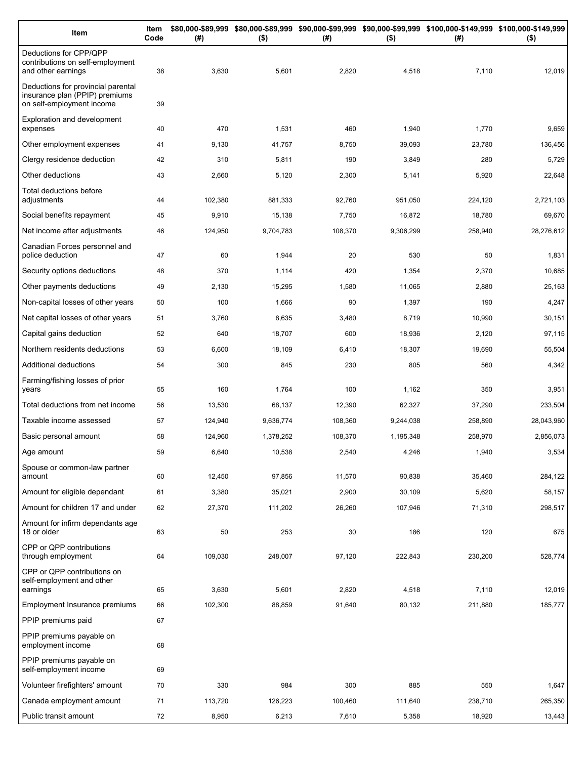| Item                                                                                              | Item<br>Code | (#)     | $($ \$)   | (#)     | $($ \$)   | \$80,000-\$89,999 \$80,000-\$89,999 \$90,000-\$99,999 \$90,000-\$99,999 \$100,000-\$149,999 \$100,000-\$149,999<br>(#) | $($ \$)    |
|---------------------------------------------------------------------------------------------------|--------------|---------|-----------|---------|-----------|------------------------------------------------------------------------------------------------------------------------|------------|
| Deductions for CPP/QPP<br>contributions on self-employment<br>and other earnings                  | 38           | 3,630   | 5,601     | 2,820   | 4,518     | 7,110                                                                                                                  | 12,019     |
| Deductions for provincial parental<br>insurance plan (PPIP) premiums<br>on self-employment income | 39           |         |           |         |           |                                                                                                                        |            |
| <b>Exploration and development</b><br>expenses                                                    | 40           | 470     | 1,531     | 460     | 1,940     | 1,770                                                                                                                  | 9,659      |
| Other employment expenses                                                                         | 41           | 9,130   | 41,757    | 8,750   | 39,093    | 23,780                                                                                                                 | 136,456    |
| Clergy residence deduction                                                                        | 42           | 310     | 5,811     | 190     | 3,849     | 280                                                                                                                    | 5,729      |
| Other deductions                                                                                  | 43           | 2,660   | 5,120     | 2,300   | 5,141     | 5,920                                                                                                                  | 22,648     |
| Total deductions before<br>adjustments                                                            | 44           | 102,380 | 881,333   | 92,760  | 951,050   | 224,120                                                                                                                | 2,721,103  |
| Social benefits repayment                                                                         | 45           | 9,910   | 15,138    | 7,750   | 16,872    | 18,780                                                                                                                 | 69,670     |
| Net income after adjustments                                                                      | 46           | 124,950 | 9,704,783 | 108,370 | 9,306,299 | 258,940                                                                                                                | 28,276,612 |
| Canadian Forces personnel and<br>police deduction                                                 | 47           | 60      | 1,944     | 20      | 530       | 50                                                                                                                     | 1,831      |
| Security options deductions                                                                       | 48           | 370     | 1,114     | 420     | 1,354     | 2,370                                                                                                                  | 10,685     |
| Other payments deductions                                                                         | 49           | 2,130   | 15,295    | 1,580   | 11,065    | 2,880                                                                                                                  | 25,163     |
| Non-capital losses of other years                                                                 | 50           | 100     | 1,666     | 90      | 1,397     | 190                                                                                                                    | 4,247      |
| Net capital losses of other years                                                                 | 51           | 3,760   | 8,635     | 3,480   | 8,719     | 10,990                                                                                                                 | 30,151     |
| Capital gains deduction                                                                           | 52           | 640     | 18,707    | 600     | 18,936    | 2,120                                                                                                                  | 97,115     |
| Northern residents deductions                                                                     | 53           | 6,600   | 18,109    | 6,410   | 18,307    | 19,690                                                                                                                 | 55,504     |
| Additional deductions                                                                             | 54           | 300     | 845       | 230     | 805       | 560                                                                                                                    | 4,342      |
| Farming/fishing losses of prior<br>years                                                          | 55           | 160     | 1,764     | 100     | 1,162     | 350                                                                                                                    | 3,951      |
| Total deductions from net income                                                                  | 56           | 13,530  | 68,137    | 12,390  | 62,327    | 37,290                                                                                                                 | 233,504    |
| Taxable income assessed                                                                           | 57           | 124,940 | 9,636,774 | 108,360 | 9,244,038 | 258,890                                                                                                                | 28,043,960 |
| Basic personal amount                                                                             | 58           | 124,960 | 1,378,252 | 108,370 | 1,195,348 | 258,970                                                                                                                | 2,856,073  |
| Age amount                                                                                        | 59           | 6,640   | 10,538    | 2,540   | 4,246     | 1,940                                                                                                                  | 3,534      |
| Spouse or common-law partner<br>amount                                                            | 60           | 12,450  | 97,856    | 11,570  | 90,838    | 35,460                                                                                                                 | 284,122    |
| Amount for eligible dependant                                                                     | 61           | 3,380   | 35,021    | 2,900   | 30,109    | 5,620                                                                                                                  | 58,157     |
| Amount for children 17 and under                                                                  | 62           | 27,370  | 111,202   | 26,260  | 107,946   | 71,310                                                                                                                 | 298,517    |
| Amount for infirm dependants age<br>18 or older                                                   | 63           | 50      | 253       | 30      | 186       | 120                                                                                                                    | 675        |
| CPP or QPP contributions<br>through employment                                                    | 64           | 109,030 | 248,007   | 97,120  | 222,843   | 230,200                                                                                                                | 528,774    |
| CPP or QPP contributions on<br>self-employment and other                                          |              |         |           |         |           |                                                                                                                        |            |
| earnings                                                                                          | 65           | 3,630   | 5,601     | 2,820   | 4,518     | 7,110                                                                                                                  | 12,019     |
| Employment Insurance premiums<br>PPIP premiums paid                                               | 66<br>67     | 102,300 | 88,859    | 91,640  | 80,132    | 211,880                                                                                                                | 185,777    |
| PPIP premiums payable on                                                                          |              |         |           |         |           |                                                                                                                        |            |
| employment income                                                                                 | 68           |         |           |         |           |                                                                                                                        |            |
| PPIP premiums payable on<br>self-employment income                                                | 69           |         |           |         |           |                                                                                                                        |            |
| Volunteer firefighters' amount                                                                    | 70           | 330     | 984       | 300     | 885       | 550                                                                                                                    | 1,647      |
| Canada employment amount                                                                          | 71           | 113,720 | 126,223   | 100,460 | 111,640   | 238,710                                                                                                                | 265,350    |
| Public transit amount                                                                             | 72           | 8,950   | 6,213     | 7,610   | 5,358     | 18,920                                                                                                                 | 13,443     |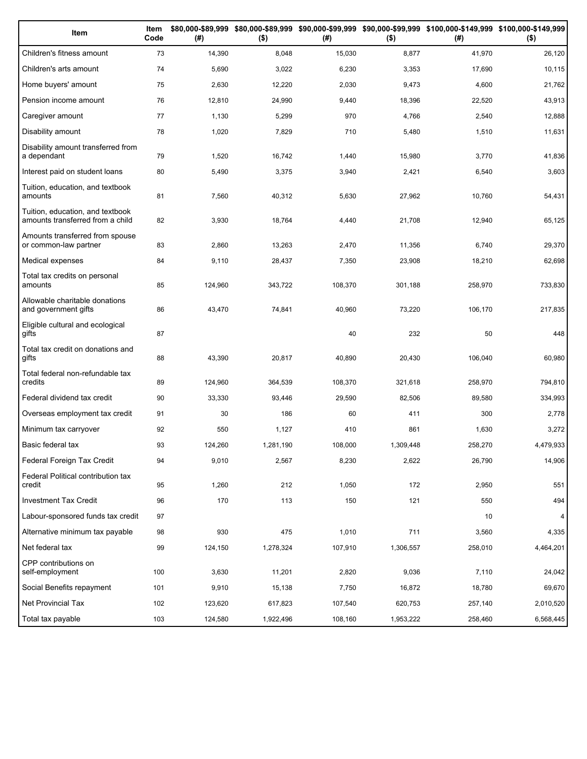| Item                                                                 | Item<br>Code | (# )    | $($ \$)   | (#)     | $($ \$)   | \$80,000-\$89,999 \$80,000-\$89,999 \$90,000-\$99,999 \$90,000-\$99,999 \$100,000-\$149,999 \$100,000-\$149,999<br>(#) | $($ \$)   |
|----------------------------------------------------------------------|--------------|---------|-----------|---------|-----------|------------------------------------------------------------------------------------------------------------------------|-----------|
| Children's fitness amount                                            | 73           | 14,390  | 8,048     | 15,030  | 8,877     | 41,970                                                                                                                 | 26,120    |
| Children's arts amount                                               | 74           | 5,690   | 3,022     | 6,230   | 3,353     | 17,690                                                                                                                 | 10,115    |
| Home buyers' amount                                                  | 75           | 2,630   | 12,220    | 2,030   | 9,473     | 4,600                                                                                                                  | 21,762    |
| Pension income amount                                                | 76           | 12,810  | 24,990    | 9,440   | 18,396    | 22,520                                                                                                                 | 43,913    |
| Caregiver amount                                                     | 77           | 1,130   | 5,299     | 970     | 4,766     | 2,540                                                                                                                  | 12,888    |
| Disability amount                                                    | 78           | 1,020   | 7,829     | 710     | 5,480     | 1,510                                                                                                                  | 11,631    |
| Disability amount transferred from<br>a dependant                    | 79           | 1,520   | 16,742    | 1,440   | 15,980    | 3,770                                                                                                                  | 41,836    |
| Interest paid on student loans                                       | 80           | 5,490   | 3,375     | 3,940   | 2,421     | 6,540                                                                                                                  | 3,603     |
| Tuition, education, and textbook<br>amounts                          | 81           | 7,560   | 40,312    | 5,630   | 27,962    | 10,760                                                                                                                 | 54,431    |
| Tuition, education, and textbook<br>amounts transferred from a child | 82           | 3,930   | 18,764    | 4,440   | 21,708    | 12,940                                                                                                                 | 65,125    |
| Amounts transferred from spouse<br>or common-law partner             | 83           | 2,860   | 13,263    | 2,470   | 11,356    | 6,740                                                                                                                  | 29,370    |
| Medical expenses                                                     | 84           | 9,110   | 28,437    | 7,350   | 23,908    | 18,210                                                                                                                 | 62,698    |
| Total tax credits on personal<br>amounts                             | 85           | 124,960 | 343,722   | 108,370 | 301,188   | 258,970                                                                                                                | 733,830   |
| Allowable charitable donations<br>and government gifts               | 86           | 43,470  | 74,841    | 40,960  | 73,220    | 106,170                                                                                                                | 217,835   |
| Eligible cultural and ecological<br>gifts                            | 87           |         |           | 40      | 232       | 50                                                                                                                     | 448       |
| Total tax credit on donations and<br>gifts                           | 88           | 43,390  | 20,817    | 40,890  | 20,430    | 106,040                                                                                                                | 60,980    |
| Total federal non-refundable tax<br>credits                          | 89           | 124,960 | 364,539   | 108,370 | 321,618   | 258,970                                                                                                                | 794,810   |
| Federal dividend tax credit                                          | 90           | 33,330  | 93,446    | 29,590  | 82,506    | 89,580                                                                                                                 | 334,993   |
| Overseas employment tax credit                                       | 91           | 30      | 186       | 60      | 411       | 300                                                                                                                    | 2,778     |
| Minimum tax carryover                                                | 92           | 550     | 1,127     | 410     | 861       | 1,630                                                                                                                  | 3,272     |
| Basic federal tax                                                    | 93           | 124,260 | 1,281,190 | 108,000 | 1,309,448 | 258,270                                                                                                                | 4,479,933 |
| Federal Foreign Tax Credit                                           | 94           | 9,010   | 2,567     | 8,230   | 2,622     | 26,790                                                                                                                 | 14,906    |
| Federal Political contribution tax<br>credit                         | 95           | 1,260   | 212       | 1,050   | 172       | 2,950                                                                                                                  | 551       |
| Investment Tax Credit                                                | 96           | 170     | 113       | 150     | 121       | 550                                                                                                                    | 494       |
| Labour-sponsored funds tax credit                                    | 97           |         |           |         |           | 10                                                                                                                     | 4         |
| Alternative minimum tax payable                                      | 98           | 930     | 475       | 1,010   | 711       | 3,560                                                                                                                  | 4,335     |
| Net federal tax                                                      | 99           | 124,150 | 1,278,324 | 107,910 | 1,306,557 | 258,010                                                                                                                | 4,464,201 |
| CPP contributions on<br>self-employment                              | 100          | 3,630   | 11,201    | 2,820   | 9,036     | 7,110                                                                                                                  | 24,042    |
| Social Benefits repayment                                            | 101          | 9,910   | 15,138    | 7,750   | 16,872    | 18,780                                                                                                                 | 69,670    |
| Net Provincial Tax                                                   | 102          | 123,620 | 617,823   | 107,540 | 620,753   | 257,140                                                                                                                | 2,010,520 |
| Total tax payable                                                    | 103          | 124,580 | 1,922,496 | 108,160 | 1,953,222 | 258,460                                                                                                                | 6,568,445 |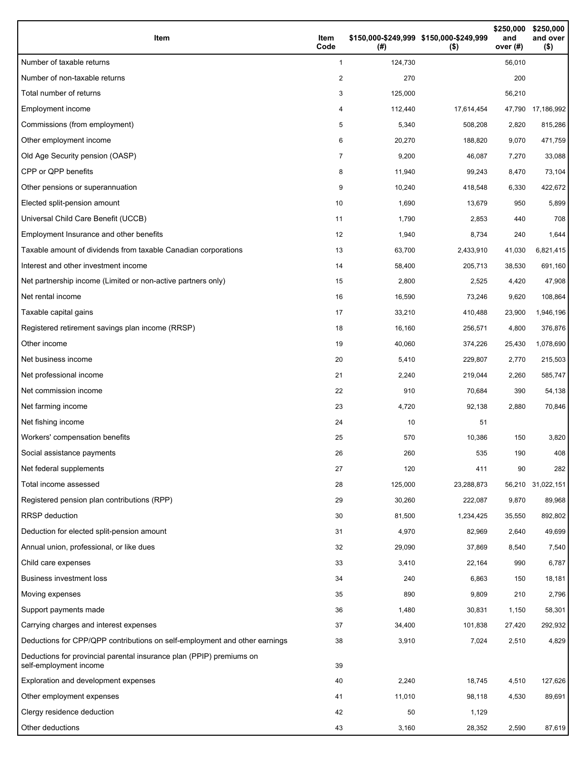| Item                                                                                           | Item<br>Code | \$150,000-\$249,999 \$150,000-\$249,999<br>(#) | $($ \$)    | \$250,000<br>and<br>over $(#)$ | \$250,000<br>and over<br>$($ \$) |
|------------------------------------------------------------------------------------------------|--------------|------------------------------------------------|------------|--------------------------------|----------------------------------|
| Number of taxable returns                                                                      | 1            | 124,730                                        |            | 56,010                         |                                  |
| Number of non-taxable returns                                                                  | 2            | 270                                            |            | 200                            |                                  |
| Total number of returns                                                                        | 3            | 125,000                                        |            | 56,210                         |                                  |
| Employment income                                                                              | 4            | 112,440                                        | 17,614,454 |                                | 47,790 17,186,992                |
| Commissions (from employment)                                                                  | 5            | 5,340                                          | 508,208    | 2,820                          | 815,286                          |
| Other employment income                                                                        | 6            | 20,270                                         | 188,820    | 9,070                          | 471,759                          |
| Old Age Security pension (OASP)                                                                | 7            | 9,200                                          | 46,087     | 7,270                          | 33,088                           |
| CPP or QPP benefits                                                                            | 8            | 11,940                                         | 99,243     | 8,470                          | 73,104                           |
| Other pensions or superannuation                                                               | 9            | 10,240                                         | 418,548    | 6,330                          | 422,672                          |
| Elected split-pension amount                                                                   | 10           | 1,690                                          | 13,679     | 950                            | 5,899                            |
| Universal Child Care Benefit (UCCB)                                                            | 11           | 1,790                                          | 2,853      | 440                            | 708                              |
| Employment Insurance and other benefits                                                        | 12           | 1,940                                          | 8,734      | 240                            | 1,644                            |
| Taxable amount of dividends from taxable Canadian corporations                                 | 13           | 63,700                                         | 2,433,910  | 41,030                         | 6,821,415                        |
| Interest and other investment income                                                           | 14           | 58,400                                         | 205,713    | 38,530                         | 691,160                          |
| Net partnership income (Limited or non-active partners only)                                   | 15           | 2,800                                          | 2,525      | 4,420                          | 47,908                           |
| Net rental income                                                                              | 16           | 16,590                                         | 73,246     | 9,620                          | 108,864                          |
| Taxable capital gains                                                                          | 17           | 33,210                                         | 410,488    | 23,900                         | 1,946,196                        |
| Registered retirement savings plan income (RRSP)                                               | 18           | 16,160                                         | 256,571    | 4,800                          | 376,876                          |
| Other income                                                                                   | 19           | 40,060                                         | 374,226    | 25,430                         | 1,078,690                        |
| Net business income                                                                            | 20           | 5,410                                          | 229,807    | 2,770                          | 215,503                          |
| Net professional income                                                                        | 21           | 2,240                                          | 219,044    | 2,260                          | 585,747                          |
| Net commission income                                                                          | 22           | 910                                            | 70,684     | 390                            | 54,138                           |
| Net farming income                                                                             | 23           | 4,720                                          | 92,138     | 2,880                          | 70,846                           |
| Net fishing income                                                                             | 24           | 10                                             | 51         |                                |                                  |
| Workers' compensation benefits                                                                 | 25           | 570                                            | 10,386     | 150                            | 3,820                            |
| Social assistance payments                                                                     | 26           | 260                                            | 535        | 190                            | 408                              |
| Net federal supplements                                                                        | 27           | 120                                            | 411        | 90                             | 282                              |
| Total income assessed                                                                          | 28           | 125,000                                        | 23,288,873 |                                | 56,210 31,022,151                |
| Registered pension plan contributions (RPP)                                                    | 29           | 30,260                                         | 222,087    | 9,870                          | 89,968                           |
| <b>RRSP</b> deduction                                                                          | 30           | 81,500                                         | 1,234,425  | 35,550                         | 892,802                          |
| Deduction for elected split-pension amount                                                     | 31           | 4,970                                          | 82,969     | 2,640                          | 49,699                           |
| Annual union, professional, or like dues                                                       | 32           | 29,090                                         | 37,869     | 8,540                          | 7,540                            |
| Child care expenses                                                                            | 33           | 3,410                                          | 22,164     | 990                            | 6,787                            |
| <b>Business investment loss</b>                                                                | 34           | 240                                            | 6,863      | 150                            | 18,181                           |
| Moving expenses                                                                                | 35           | 890                                            | 9,809      | 210                            | 2,796                            |
| Support payments made                                                                          | 36           | 1,480                                          | 30,831     | 1,150                          | 58,301                           |
| Carrying charges and interest expenses                                                         | 37           | 34,400                                         | 101,838    | 27,420                         | 292,932                          |
| Deductions for CPP/QPP contributions on self-employment and other earnings                     | 38           | 3,910                                          | 7,024      | 2,510                          | 4,829                            |
| Deductions for provincial parental insurance plan (PPIP) premiums on<br>self-employment income | 39           |                                                |            |                                |                                  |
| Exploration and development expenses                                                           | 40           | 2,240                                          | 18,745     | 4,510                          | 127,626                          |
| Other employment expenses                                                                      | 41           | 11,010                                         | 98,118     | 4,530                          | 89,691                           |
| Clergy residence deduction                                                                     | 42           | 50                                             | 1,129      |                                |                                  |
| Other deductions                                                                               | 43           | 3,160                                          | 28,352     | 2,590                          | 87,619                           |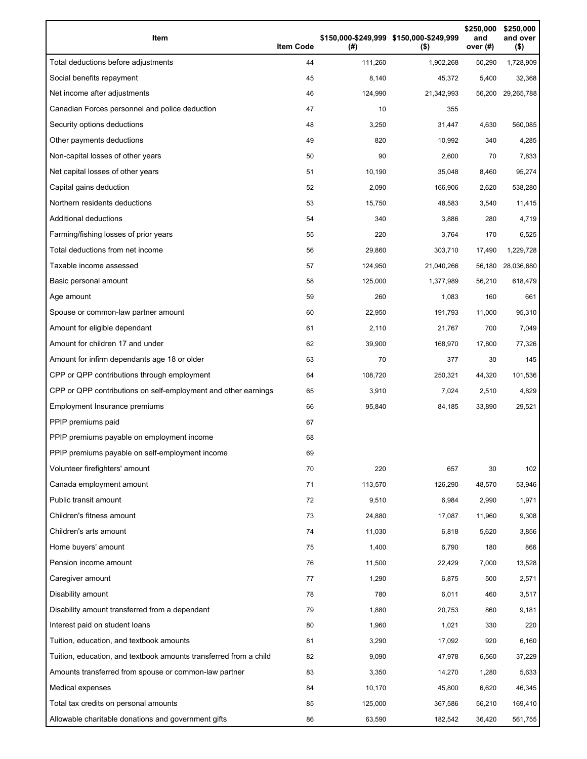| Item                                                              | <b>Item Code</b> | (#)     | \$150,000-\$249,999 \$150,000-\$249,999<br>$($ \$) | \$250,000<br>and<br>over (#) | \$250,000<br>and over<br>$($ \$) |
|-------------------------------------------------------------------|------------------|---------|----------------------------------------------------|------------------------------|----------------------------------|
| Total deductions before adjustments                               | 44               | 111,260 | 1,902,268                                          | 50,290                       | 1,728,909                        |
| Social benefits repayment                                         | 45               | 8,140   | 45,372                                             | 5,400                        | 32,368                           |
| Net income after adjustments                                      | 46               | 124,990 | 21,342,993                                         | 56,200                       | 29,265,788                       |
| Canadian Forces personnel and police deduction                    | 47               | 10      | 355                                                |                              |                                  |
| Security options deductions                                       | 48               | 3,250   | 31,447                                             | 4,630                        | 560,085                          |
| Other payments deductions                                         | 49               | 820     | 10,992                                             | 340                          | 4,285                            |
| Non-capital losses of other years                                 | 50               | 90      | 2,600                                              | 70                           | 7,833                            |
| Net capital losses of other years                                 | 51               | 10,190  | 35,048                                             | 8,460                        | 95,274                           |
| Capital gains deduction                                           | 52               | 2,090   | 166,906                                            | 2,620                        | 538,280                          |
| Northern residents deductions                                     | 53               | 15,750  | 48,583                                             | 3,540                        | 11,415                           |
| <b>Additional deductions</b>                                      | 54               | 340     | 3,886                                              | 280                          | 4,719                            |
| Farming/fishing losses of prior years                             | 55               | 220     | 3,764                                              | 170                          | 6,525                            |
| Total deductions from net income                                  | 56               | 29,860  | 303,710                                            | 17,490                       | 1,229,728                        |
| Taxable income assessed                                           | 57               | 124,950 | 21,040,266                                         | 56,180                       | 28,036,680                       |
| Basic personal amount                                             | 58               | 125,000 | 1,377,989                                          | 56,210                       | 618,479                          |
| Age amount                                                        | 59               | 260     | 1,083                                              | 160                          | 661                              |
| Spouse or common-law partner amount                               | 60               | 22,950  | 191,793                                            | 11,000                       | 95,310                           |
| Amount for eligible dependant                                     | 61               | 2,110   | 21,767                                             | 700                          | 7,049                            |
| Amount for children 17 and under                                  | 62               | 39,900  | 168,970                                            | 17,800                       | 77,326                           |
| Amount for infirm dependants age 18 or older                      | 63               | 70      | 377                                                | 30                           | 145                              |
| CPP or QPP contributions through employment                       | 64               | 108,720 | 250,321                                            | 44,320                       | 101,536                          |
| CPP or QPP contributions on self-employment and other earnings    | 65               | 3,910   | 7,024                                              | 2,510                        | 4,829                            |
| Employment Insurance premiums                                     | 66               | 95,840  | 84,185                                             | 33,890                       | 29,521                           |
| PPIP premiums paid                                                | 67               |         |                                                    |                              |                                  |
| PPIP premiums payable on employment income                        | 68               |         |                                                    |                              |                                  |
| PPIP premiums payable on self-employment income                   | 69               |         |                                                    |                              |                                  |
| Volunteer firefighters' amount                                    | 70               | 220     | 657                                                | 30                           | 102                              |
| Canada employment amount                                          | 71               | 113,570 | 126,290                                            | 48,570                       | 53,946                           |
| Public transit amount                                             | 72               | 9,510   | 6,984                                              | 2,990                        | 1,971                            |
| Children's fitness amount                                         | 73               | 24,880  | 17,087                                             | 11,960                       | 9,308                            |
| Children's arts amount                                            | 74               | 11,030  | 6,818                                              | 5,620                        | 3,856                            |
| Home buyers' amount                                               | 75               | 1,400   | 6,790                                              | 180                          | 866                              |
| Pension income amount                                             | 76               | 11,500  | 22,429                                             | 7,000                        | 13,528                           |
| Caregiver amount                                                  | 77               | 1,290   | 6,875                                              | 500                          | 2,571                            |
| Disability amount                                                 | 78               | 780     | 6,011                                              | 460                          | 3,517                            |
| Disability amount transferred from a dependant                    | 79               | 1,880   | 20,753                                             | 860                          | 9,181                            |
| Interest paid on student loans                                    | 80               | 1,960   | 1,021                                              | 330                          | 220                              |
| Tuition, education, and textbook amounts                          | 81               | 3,290   | 17,092                                             | 920                          | 6,160                            |
| Tuition, education, and textbook amounts transferred from a child | 82               | 9,090   | 47,978                                             | 6,560                        | 37,229                           |
| Amounts transferred from spouse or common-law partner             | 83               | 3,350   | 14,270                                             | 1,280                        | 5,633                            |
| Medical expenses                                                  | 84               | 10,170  | 45,800                                             | 6,620                        | 46,345                           |
| Total tax credits on personal amounts                             | 85               | 125,000 | 367,586                                            | 56,210                       | 169,410                          |
| Allowable charitable donations and government gifts               | 86               | 63,590  | 182,542                                            | 36,420                       | 561,755                          |